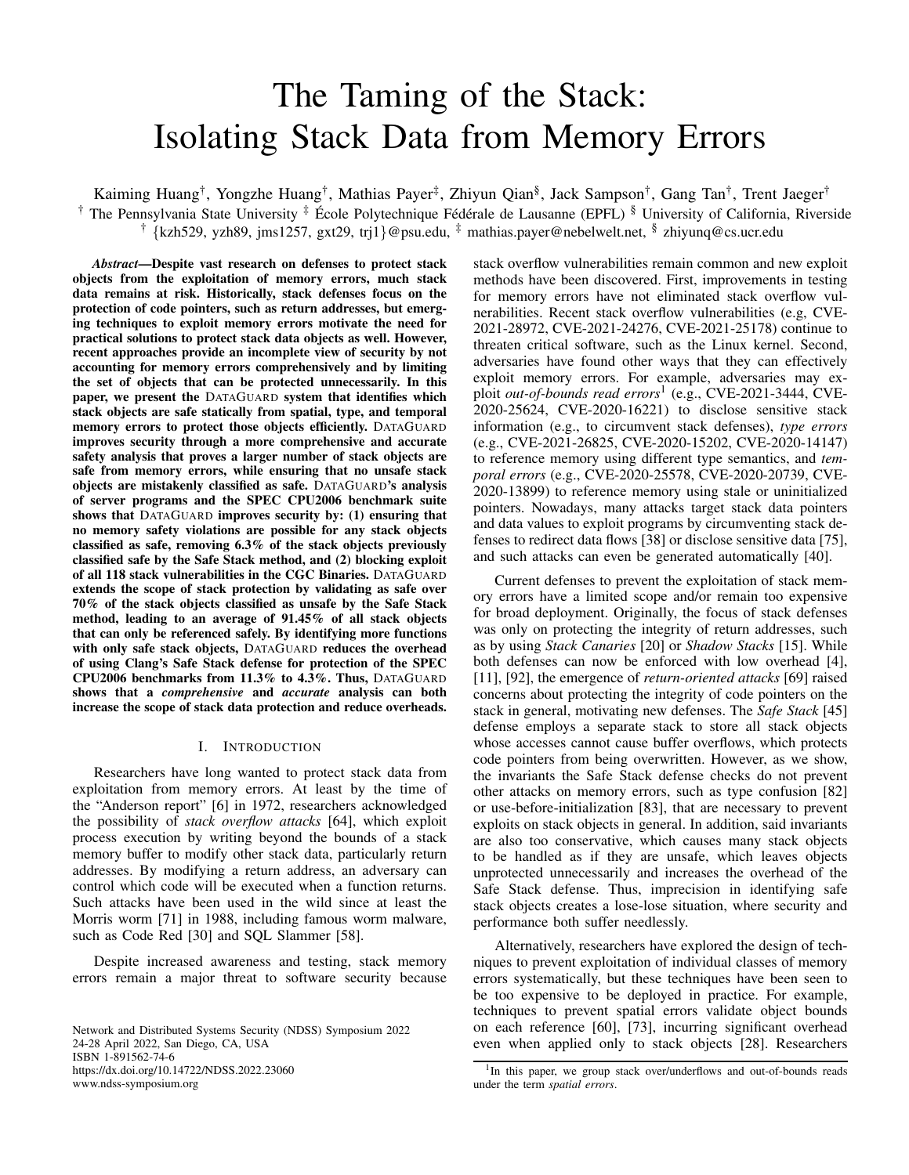# The Taming of the Stack: Isolating Stack Data from Memory Errors

Kaiming Huang†, Yongzhe Huang†, Mathias Payer‡, Zhiyun Qian§, Jack Sampson†, Gang Tan†, Trent Jaeger† <sup>†</sup> The Pennsylvania State University <sup>‡</sup> École Polytechnique Fédérale de Lausanne (EPFL) <sup>§</sup> University of California, Riverside † {kzh529, yzh89, jms1257, gxt29, trj1}@psu.edu, ‡ mathias.payer@nebelwelt.net, § zhiyunq@cs.ucr.edu

*Abstract*—Despite vast research on defenses to protect stack objects from the exploitation of memory errors, much stack data remains at risk. Historically, stack defenses focus on the protection of code pointers, such as return addresses, but emerging techniques to exploit memory errors motivate the need for practical solutions to protect stack data objects as well. However, recent approaches provide an incomplete view of security by not accounting for memory errors comprehensively and by limiting the set of objects that can be protected unnecessarily. In this paper, we present the DATAGUARD system that identifies which stack objects are safe statically from spatial, type, and temporal memory errors to protect those objects efficiently. DATAGUARD improves security through a more comprehensive and accurate safety analysis that proves a larger number of stack objects are safe from memory errors, while ensuring that no unsafe stack objects are mistakenly classified as safe. DATAGUARD's analysis of server programs and the SPEC CPU2006 benchmark suite shows that DATAGUARD improves security by: (1) ensuring that no memory safety violations are possible for any stack objects classified as safe, removing 6.3% of the stack objects previously classified safe by the Safe Stack method, and (2) blocking exploit of all 118 stack vulnerabilities in the CGC Binaries. DATAGUARD extends the scope of stack protection by validating as safe over 70% of the stack objects classified as unsafe by the Safe Stack method, leading to an average of 91.45% of all stack objects that can only be referenced safely. By identifying more functions with only safe stack objects, DATAGUARD reduces the overhead of using Clang's Safe Stack defense for protection of the SPEC CPU2006 benchmarks from 11.3% to 4.3%. Thus, DATAGUARD shows that a *comprehensive* and *accurate* analysis can both increase the scope of stack data protection and reduce overheads.

## I. INTRODUCTION

Researchers have long wanted to protect stack data from exploitation from memory errors. At least by the time of the "Anderson report" [\[6\]](#page-13-0) in 1972, researchers acknowledged the possibility of *stack overflow attacks* [\[64\]](#page-15-0), which exploit process execution by writing beyond the bounds of a stack memory buffer to modify other stack data, particularly return addresses. By modifying a return address, an adversary can control which code will be executed when a function returns. Such attacks have been used in the wild since at least the Morris worm [\[71\]](#page-15-1) in 1988, including famous worm malware, such as Code Red [\[30\]](#page-14-0) and SQL Slammer [\[58\]](#page-14-1).

Despite increased awareness and testing, stack memory errors remain a major threat to software security because

Network and Distributed Systems Security (NDSS) Symposium 2022 24-28 April 2022, San Diego, CA, USA ISBN 1-891562-74-6 https://dx.doi.org/10.14722/NDSS.2022.23060 www.ndss-symposium.org

stack overflow vulnerabilities remain common and new exploit methods have been discovered. First, improvements in testing for memory errors have not eliminated stack overflow vulnerabilities. Recent stack overflow vulnerabilities (e.g, CVE-2021-28972, CVE-2021-24276, CVE-2021-25178) continue to threaten critical software, such as the Linux kernel. Second, adversaries have found other ways that they can effectively exploit memory errors. For example, adversaries may exploit *out-of-bounds read errors*[1](#page-0-0) (e.g., CVE-2021-3444, CVE-2020-25624, CVE-2020-16221) to disclose sensitive stack information (e.g., to circumvent stack defenses), *type errors* (e.g., CVE-2021-26825, CVE-2020-15202, CVE-2020-14147) to reference memory using different type semantics, and *temporal errors* (e.g., CVE-2020-25578, CVE-2020-20739, CVE-2020-13899) to reference memory using stale or uninitialized pointers. Nowadays, many attacks target stack data pointers and data values to exploit programs by circumventing stack defenses to redirect data flows [\[38\]](#page-14-2) or disclose sensitive data [\[75\]](#page-15-2), and such attacks can even be generated automatically [\[40\]](#page-14-3).

Current defenses to prevent the exploitation of stack memory errors have a limited scope and/or remain too expensive for broad deployment. Originally, the focus of stack defenses was only on protecting the integrity of return addresses, such as by using *Stack Canaries* [\[20\]](#page-14-4) or *Shadow Stacks* [\[15\]](#page-13-1). While both defenses can now be enforced with low overhead [\[4\]](#page-13-2), [\[11\]](#page-13-3), [\[92\]](#page-15-3), the emergence of *return-oriented attacks* [\[69\]](#page-15-4) raised concerns about protecting the integrity of code pointers on the stack in general, motivating new defenses. The *Safe Stack* [\[45\]](#page-14-5) defense employs a separate stack to store all stack objects whose accesses cannot cause buffer overflows, which protects code pointers from being overwritten. However, as we show, the invariants the Safe Stack defense checks do not prevent other attacks on memory errors, such as type confusion [\[82\]](#page-15-5) or use-before-initialization [\[83\]](#page-15-6), that are necessary to prevent exploits on stack objects in general. In addition, said invariants are also too conservative, which causes many stack objects to be handled as if they are unsafe, which leaves objects unprotected unnecessarily and increases the overhead of the Safe Stack defense. Thus, imprecision in identifying safe stack objects creates a lose-lose situation, where security and performance both suffer needlessly.

Alternatively, researchers have explored the design of techniques to prevent exploitation of individual classes of memory errors systematically, but these techniques have been seen to be too expensive to be deployed in practice. For example, techniques to prevent spatial errors validate object bounds on each reference [\[60\]](#page-14-6), [\[73\]](#page-15-7), incurring significant overhead even when applied only to stack objects [\[28\]](#page-14-7). Researchers

<span id="page-0-0"></span><sup>&</sup>lt;sup>1</sup>In this paper, we group stack over/underflows and out-of-bounds reads under the term *spatial errors*.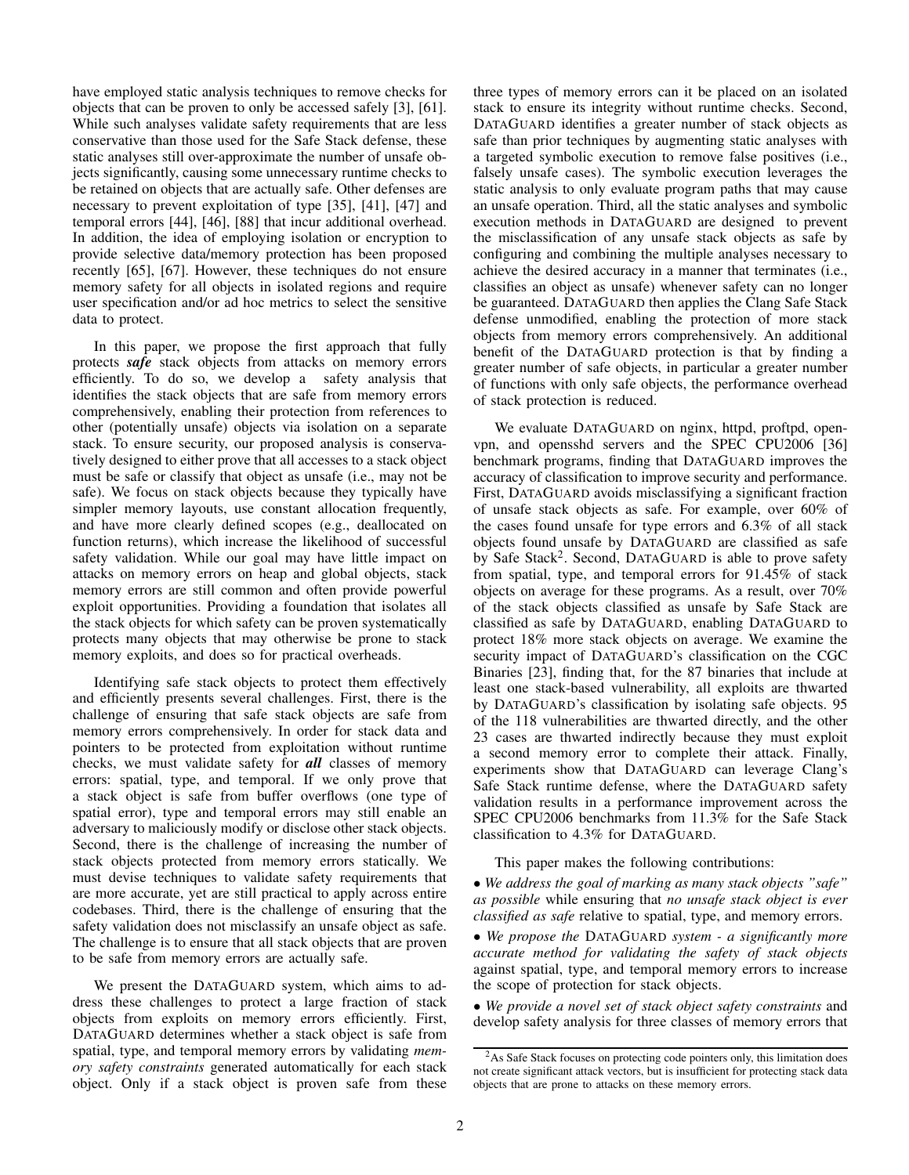have employed static analysis techniques to remove checks for objects that can be proven to only be accessed safely [\[3\]](#page-13-4), [\[61\]](#page-14-8). While such analyses validate safety requirements that are less conservative than those used for the Safe Stack defense, these static analyses still over-approximate the number of unsafe objects significantly, causing some unnecessary runtime checks to be retained on objects that are actually safe. Other defenses are necessary to prevent exploitation of type [\[35\]](#page-14-9), [\[41\]](#page-14-10), [\[47\]](#page-14-11) and temporal errors [\[44\]](#page-14-12), [\[46\]](#page-14-13), [\[88\]](#page-15-8) that incur additional overhead. In addition, the idea of employing isolation or encryption to provide selective data/memory protection has been proposed recently [\[65\]](#page-15-9), [\[67\]](#page-15-10). However, these techniques do not ensure memory safety for all objects in isolated regions and require user specification and/or ad hoc metrics to select the sensitive data to protect.

In this paper, we propose the first approach that fully protects *safe* stack objects from attacks on memory errors efficiently. To do so, we develop a safety analysis that identifies the stack objects that are safe from memory errors comprehensively, enabling their protection from references to other (potentially unsafe) objects via isolation on a separate stack. To ensure security, our proposed analysis is conservatively designed to either prove that all accesses to a stack object must be safe or classify that object as unsafe (i.e., may not be safe). We focus on stack objects because they typically have simpler memory layouts, use constant allocation frequently, and have more clearly defined scopes (e.g., deallocated on function returns), which increase the likelihood of successful safety validation. While our goal may have little impact on attacks on memory errors on heap and global objects, stack memory errors are still common and often provide powerful exploit opportunities. Providing a foundation that isolates all the stack objects for which safety can be proven systematically protects many objects that may otherwise be prone to stack memory exploits, and does so for practical overheads.

Identifying safe stack objects to protect them effectively and efficiently presents several challenges. First, there is the challenge of ensuring that safe stack objects are safe from memory errors comprehensively. In order for stack data and pointers to be protected from exploitation without runtime checks, we must validate safety for *all* classes of memory errors: spatial, type, and temporal. If we only prove that a stack object is safe from buffer overflows (one type of spatial error), type and temporal errors may still enable an adversary to maliciously modify or disclose other stack objects. Second, there is the challenge of increasing the number of stack objects protected from memory errors statically. We must devise techniques to validate safety requirements that are more accurate, yet are still practical to apply across entire codebases. Third, there is the challenge of ensuring that the safety validation does not misclassify an unsafe object as safe. The challenge is to ensure that all stack objects that are proven to be safe from memory errors are actually safe.

We present the DATAGUARD system, which aims to address these challenges to protect a large fraction of stack objects from exploits on memory errors efficiently. First, DATAGUARD determines whether a stack object is safe from spatial, type, and temporal memory errors by validating *memory safety constraints* generated automatically for each stack object. Only if a stack object is proven safe from these three types of memory errors can it be placed on an isolated stack to ensure its integrity without runtime checks. Second, DATAGUARD identifies a greater number of stack objects as safe than prior techniques by augmenting static analyses with a targeted symbolic execution to remove false positives (i.e., falsely unsafe cases). The symbolic execution leverages the static analysis to only evaluate program paths that may cause an unsafe operation. Third, all the static analyses and symbolic execution methods in DATAGUARD are designed to prevent the misclassification of any unsafe stack objects as safe by configuring and combining the multiple analyses necessary to achieve the desired accuracy in a manner that terminates (i.e., classifies an object as unsafe) whenever safety can no longer be guaranteed. DATAGUARD then applies the Clang Safe Stack defense unmodified, enabling the protection of more stack objects from memory errors comprehensively. An additional benefit of the DATAGUARD protection is that by finding a greater number of safe objects, in particular a greater number of functions with only safe objects, the performance overhead of stack protection is reduced.

We evaluate DATAGUARD on nginx, httpd, proftpd, openvpn, and opensshd servers and the SPEC CPU2006 [\[36\]](#page-14-14) benchmark programs, finding that DATAGUARD improves the accuracy of classification to improve security and performance. First, DATAGUARD avoids misclassifying a significant fraction of unsafe stack objects as safe. For example, over 60% of the cases found unsafe for type errors and 6.3% of all stack objects found unsafe by DATAGUARD are classified as safe by Safe Stack<sup>[2](#page-1-0)</sup>. Second, DATAGUARD is able to prove safety from spatial, type, and temporal errors for 91.45% of stack objects on average for these programs. As a result, over 70% of the stack objects classified as unsafe by Safe Stack are classified as safe by DATAGUARD, enabling DATAGUARD to protect 18% more stack objects on average. We examine the security impact of DATAGUARD's classification on the CGC Binaries [\[23\]](#page-14-15), finding that, for the 87 binaries that include at least one stack-based vulnerability, all exploits are thwarted by DATAGUARD's classification by isolating safe objects. 95 of the 118 vulnerabilities are thwarted directly, and the other 23 cases are thwarted indirectly because they must exploit a second memory error to complete their attack. Finally, experiments show that DATAGUARD can leverage Clang's Safe Stack runtime defense, where the DATAGUARD safety validation results in a performance improvement across the SPEC CPU2006 benchmarks from 11.3% for the Safe Stack classification to 4.3% for DATAGUARD.

This paper makes the following contributions:

• *We address the goal of marking as many stack objects "safe" as possible* while ensuring that *no unsafe stack object is ever classified as safe* relative to spatial, type, and memory errors.

• *We propose the* DATAGUARD *system - a significantly more accurate method for validating the safety of stack objects* against spatial, type, and temporal memory errors to increase the scope of protection for stack objects.

• *We provide a novel set of stack object safety constraints* and develop safety analysis for three classes of memory errors that

<span id="page-1-0"></span><sup>&</sup>lt;sup>2</sup>As Safe Stack focuses on protecting code pointers only, this limitation does not create significant attack vectors, but is insufficient for protecting stack data objects that are prone to attacks on these memory errors.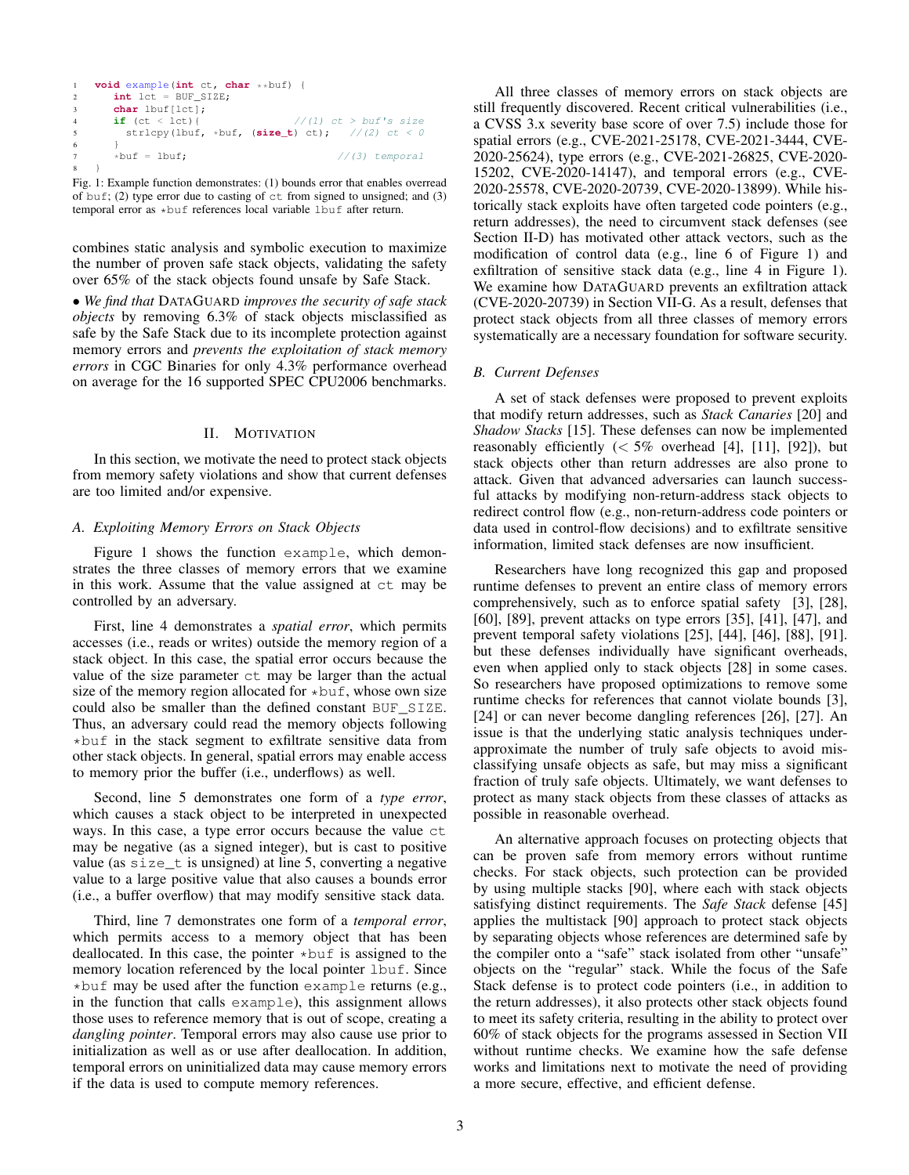```
1 void example(int ct, char **buf) {
      int lct = BUF_SIZE;
      3 char lbuf[lct];
                                 //(1) ct > buf's size
        strlcpy(lbuf, *buf, (size_t) ct); //(2) ct < 06 }
7 *buf = lbuf; \frac{1}{3} //(3) temporal
  \rightarrow
```
Fig. 1: Example function demonstrates: (1) bounds error that enables overread of buf; (2) type error due to casting of  $ct$  from signed to unsigned; and (3) temporal error as \*buf references local variable lbuf after return.

combines static analysis and symbolic execution to maximize the number of proven safe stack objects, validating the safety over 65% of the stack objects found unsafe by Safe Stack.

• *We find that* DATAGUARD *improves the security of safe stack objects* by removing 6.3% of stack objects misclassified as safe by the Safe Stack due to its incomplete protection against memory errors and *prevents the exploitation of stack memory errors* in CGC Binaries for only 4.3% performance overhead on average for the 16 supported SPEC CPU2006 benchmarks.

# II. MOTIVATION

In this section, we motivate the need to protect stack objects from memory safety violations and show that current defenses are too limited and/or expensive.

## <span id="page-2-1"></span>*A. Exploiting Memory Errors on Stack Objects*

Figure [1](#page-2-0) shows the function example, which demonstrates the three classes of memory errors that we examine in this work. Assume that the value assigned at ct may be controlled by an adversary.

First, line 4 demonstrates a *spatial error*, which permits accesses (i.e., reads or writes) outside the memory region of a stack object. In this case, the spatial error occurs because the value of the size parameter ct may be larger than the actual size of the memory region allocated for  $\star$ buf, whose own size could also be smaller than the defined constant BUF\_SIZE. Thus, an adversary could read the memory objects following  $\star$ buf in the stack segment to exfiltrate sensitive data from other stack objects. In general, spatial errors may enable access to memory prior the buffer (i.e., underflows) as well.

Second, line 5 demonstrates one form of a *type error*, which causes a stack object to be interpreted in unexpected ways. In this case, a type error occurs because the value ct may be negative (as a signed integer), but is cast to positive value (as  $size_t$  is unsigned) at line 5, converting a negative value to a large positive value that also causes a bounds error (i.e., a buffer overflow) that may modify sensitive stack data.

Third, line 7 demonstrates one form of a *temporal error*, which permits access to a memory object that has been deallocated. In this case, the pointer  $\star$ buf is assigned to the memory location referenced by the local pointer lbuf. Since  $*$ buf may be used after the function example returns (e.g., in the function that calls example), this assignment allows those uses to reference memory that is out of scope, creating a *dangling pointer*. Temporal errors may also cause use prior to initialization as well as or use after deallocation. In addition, temporal errors on uninitialized data may cause memory errors if the data is used to compute memory references.

All three classes of memory errors on stack objects are still frequently discovered. Recent critical vulnerabilities (i.e., a CVSS 3.x severity base score of over 7.5) include those for spatial errors (e.g., CVE-2021-25178, CVE-2021-3444, CVE-2020-25624), type errors (e.g., CVE-2021-26825, CVE-2020- 15202, CVE-2020-14147), and temporal errors (e.g., CVE-2020-25578, CVE-2020-20739, CVE-2020-13899). While historically stack exploits have often targeted code pointers (e.g., return addresses), the need to circumvent stack defenses (see Section [II-D\)](#page-3-0) has motivated other attack vectors, such as the modification of control data (e.g., line 6 of Figure [1\)](#page-2-0) and exfiltration of sensitive stack data (e.g., line 4 in Figure [1\)](#page-2-0). We examine how DATAGUARD prevents an exfiltration attack (CVE-2020-20739) in Section [VII-G.](#page-11-0) As a result, defenses that protect stack objects from all three classes of memory errors systematically are a necessary foundation for software security.

## *B. Current Defenses*

A set of stack defenses were proposed to prevent exploits that modify return addresses, such as *Stack Canaries* [\[20\]](#page-14-4) and *Shadow Stacks* [\[15\]](#page-13-1). These defenses can now be implemented reasonably efficiently  $\langle 5\%$  overhead [\[4\]](#page-13-2), [\[11\]](#page-13-3), [\[92\]](#page-15-3)), but stack objects other than return addresses are also prone to attack. Given that advanced adversaries can launch successful attacks by modifying non-return-address stack objects to redirect control flow (e.g., non-return-address code pointers or data used in control-flow decisions) and to exfiltrate sensitive information, limited stack defenses are now insufficient.

Researchers have long recognized this gap and proposed runtime defenses to prevent an entire class of memory errors comprehensively, such as to enforce spatial safety [\[3\]](#page-13-4), [\[28\]](#page-14-7), [\[60\]](#page-14-6), [\[89\]](#page-15-11), prevent attacks on type errors [\[35\]](#page-14-9), [\[41\]](#page-14-10), [\[47\]](#page-14-11), and prevent temporal safety violations [\[25\]](#page-14-16), [\[44\]](#page-14-12), [\[46\]](#page-14-13), [\[88\]](#page-15-8), [\[91\]](#page-15-12). but these defenses individually have significant overheads, even when applied only to stack objects [\[28\]](#page-14-7) in some cases. So researchers have proposed optimizations to remove some runtime checks for references that cannot violate bounds [\[3\]](#page-13-4), [\[24\]](#page-14-17) or can never become dangling references [\[26\]](#page-14-18), [\[27\]](#page-14-19). An issue is that the underlying static analysis techniques underapproximate the number of truly safe objects to avoid misclassifying unsafe objects as safe, but may miss a significant fraction of truly safe objects. Ultimately, we want defenses to protect as many stack objects from these classes of attacks as possible in reasonable overhead.

An alternative approach focuses on protecting objects that can be proven safe from memory errors without runtime checks. For stack objects, such protection can be provided by using multiple stacks [\[90\]](#page-15-13), where each with stack objects satisfying distinct requirements. The *Safe Stack* defense [\[45\]](#page-14-5) applies the multistack [\[90\]](#page-15-13) approach to protect stack objects by separating objects whose references are determined safe by the compiler onto a "safe" stack isolated from other "unsafe" objects on the "regular" stack. While the focus of the Safe Stack defense is to protect code pointers (i.e., in addition to the return addresses), it also protects other stack objects found to meet its safety criteria, resulting in the ability to protect over 60% of stack objects for the programs assessed in Section [VII](#page-8-0) without runtime checks. We examine how the safe defense works and limitations next to motivate the need of providing a more secure, effective, and efficient defense.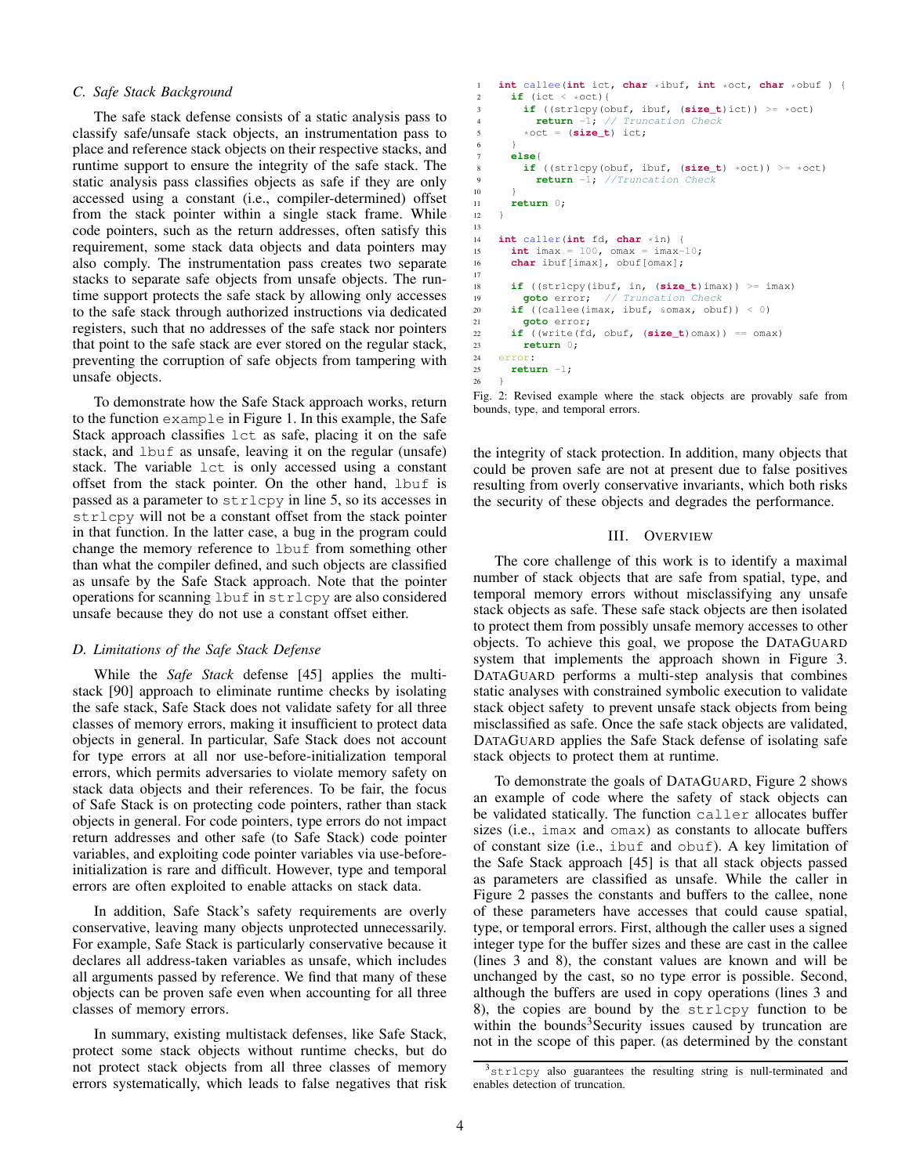## *C. Safe Stack Background*

The safe stack defense consists of a static analysis pass to classify safe/unsafe stack objects, an instrumentation pass to place and reference stack objects on their respective stacks, and runtime support to ensure the integrity of the safe stack. The static analysis pass classifies objects as safe if they are only accessed using a constant (i.e., compiler-determined) offset from the stack pointer within a single stack frame. While code pointers, such as the return addresses, often satisfy this requirement, some stack data objects and data pointers may also comply. The instrumentation pass creates two separate stacks to separate safe objects from unsafe objects. The runtime support protects the safe stack by allowing only accesses to the safe stack through authorized instructions via dedicated registers, such that no addresses of the safe stack nor pointers that point to the safe stack are ever stored on the regular stack, preventing the corruption of safe objects from tampering with unsafe objects.

To demonstrate how the Safe Stack approach works, return to the function example in Figure [1.](#page-2-0) In this example, the Safe Stack approach classifies lct as safe, placing it on the safe stack, and lbuf as unsafe, leaving it on the regular (unsafe) stack. The variable lct is only accessed using a constant offset from the stack pointer. On the other hand, lbuf is passed as a parameter to strlcpy in line 5, so its accesses in strlcpy will not be a constant offset from the stack pointer in that function. In the latter case, a bug in the program could change the memory reference to lbuf from something other than what the compiler defined, and such objects are classified as unsafe by the Safe Stack approach. Note that the pointer operations for scanning lbuf in strlcpy are also considered unsafe because they do not use a constant offset either.

## <span id="page-3-0"></span>*D. Limitations of the Safe Stack Defense*

While the *Safe Stack* defense [\[45\]](#page-14-5) applies the multistack [\[90\]](#page-15-13) approach to eliminate runtime checks by isolating the safe stack, Safe Stack does not validate safety for all three classes of memory errors, making it insufficient to protect data objects in general. In particular, Safe Stack does not account for type errors at all nor use-before-initialization temporal errors, which permits adversaries to violate memory safety on stack data objects and their references. To be fair, the focus of Safe Stack is on protecting code pointers, rather than stack objects in general. For code pointers, type errors do not impact return addresses and other safe (to Safe Stack) code pointer variables, and exploiting code pointer variables via use-beforeinitialization is rare and difficult. However, type and temporal errors are often exploited to enable attacks on stack data.

In addition, Safe Stack's safety requirements are overly conservative, leaving many objects unprotected unnecessarily. For example, Safe Stack is particularly conservative because it declares all address-taken variables as unsafe, which includes all arguments passed by reference. We find that many of these objects can be proven safe even when accounting for all three classes of memory errors.

In summary, existing multistack defenses, like Safe Stack, protect some stack objects without runtime checks, but do not protect stack objects from all three classes of memory errors systematically, which leads to false negatives that risk

```
1 int callee (int ict, char *ibuf, int *oct, char *obuf ) {<br>\mathbf{r} = \mathbf{r} \cdot \mathbf{r} + \mathbf{r} \cdot \mathbf{r} + \mathbf{r} \cdot \mathbf{r} + \mathbf{r} \cdot \mathbf{r} + \mathbf{r} \cdot \mathbf{r} + \mathbf{r} \cdot \mathbf{r} + \mathbf{r} \cdot \mathbf{r} + \mathbf{r} \cdot \mathbf{r} + \mathbf{r} \cdot \mathbf{r} + \mathbf{r} \cdotif (ict \le *oct){
            if ((strlcpy(obuf, ibuf, (size_t)ict)) >= *oct)
               4 return -1; // Truncation Check
            *oct = (size_t) ict;
 6 }
         7 else{
            if ((strlcpy(obuf, ibuf, (size_t) *oct)) >= *oct)
               9 return -1; //Truncation Check
1011 return 0;
12 }
13
14 int caller (int fd, char *in) {<br>15 int imax = 100, omax = imax-
         int_{max} = 100, omax = imax-10;
16 char ibuf[imax], obuf[omax];
17
18 if ((strlcpy(ibuf, in, (size_t)imax)) >= imax)
19 goto error; // Truncation Check
20 if ((callee(imax, ibuf, &omax, obuf)) < 0)
21 goto error;
22 if ((write(fd, obuf, (size t)omax)) == omax)
23 return 0;
24 error:
25 return -1;
26
```
Fig. 2: Revised example where the stack objects are provably safe from bounds, type, and temporal errors.

the integrity of stack protection. In addition, many objects that could be proven safe are not at present due to false positives resulting from overly conservative invariants, which both risks the security of these objects and degrades the performance.

# III. OVERVIEW

The core challenge of this work is to identify a maximal number of stack objects that are safe from spatial, type, and temporal memory errors without misclassifying any unsafe stack objects as safe. These safe stack objects are then isolated to protect them from possibly unsafe memory accesses to other objects. To achieve this goal, we propose the DATAGUARD system that implements the approach shown in Figure [3.](#page-4-0) DATAGUARD performs a multi-step analysis that combines static analyses with constrained symbolic execution to validate stack object safety to prevent unsafe stack objects from being misclassified as safe. Once the safe stack objects are validated, DATAGUARD applies the Safe Stack defense of isolating safe stack objects to protect them at runtime.

To demonstrate the goals of DATAGUARD, Figure [2](#page-3-1) shows an example of code where the safety of stack objects can be validated statically. The function caller allocates buffer sizes (i.e., imax and omax) as constants to allocate buffers of constant size (i.e., ibuf and obuf). A key limitation of the Safe Stack approach [\[45\]](#page-14-5) is that all stack objects passed as parameters are classified as unsafe. While the caller in Figure [2](#page-3-1) passes the constants and buffers to the callee, none of these parameters have accesses that could cause spatial, type, or temporal errors. First, although the caller uses a signed integer type for the buffer sizes and these are cast in the callee (lines 3 and 8), the constant values are known and will be unchanged by the cast, so no type error is possible. Second, although the buffers are used in copy operations (lines 3 and 8), the copies are bound by the strlcpy function to be within the bounds<sup>[3](#page-3-2)</sup>Security issues caused by truncation are not in the scope of this paper. (as determined by the constant

<span id="page-3-2"></span><sup>3</sup>strlcpy also guarantees the resulting string is null-terminated and enables detection of truncation.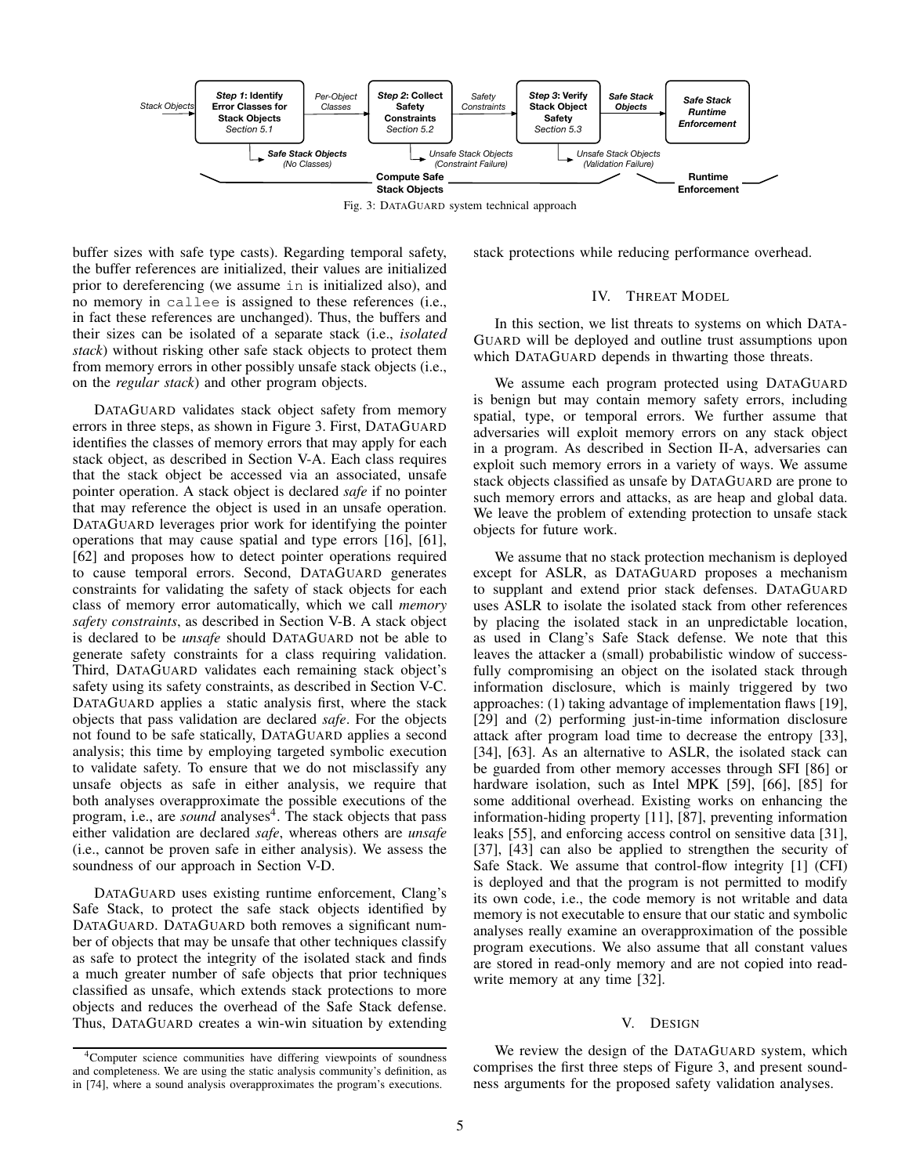<span id="page-4-0"></span>

Fig. 3: DATAGUARD system technical approach

buffer sizes with safe type casts). Regarding temporal safety, the buffer references are initialized, their values are initialized prior to dereferencing (we assume in is initialized also), and no memory in callee is assigned to these references (i.e., in fact these references are unchanged). Thus, the buffers and their sizes can be isolated of a separate stack (i.e., *isolated stack*) without risking other safe stack objects to protect them from memory errors in other possibly unsafe stack objects (i.e., on the *regular stack*) and other program objects.

DATAGUARD validates stack object safety from memory errors in three steps, as shown in Figure [3.](#page-4-0) First, DATAGUARD identifies the classes of memory errors that may apply for each stack object, as described in Section [V-A.](#page-5-0) Each class requires that the stack object be accessed via an associated, unsafe pointer operation. A stack object is declared *safe* if no pointer that may reference the object is used in an unsafe operation. DATAGUARD leverages prior work for identifying the pointer operations that may cause spatial and type errors [\[16\]](#page-13-5), [\[61\]](#page-14-8), [\[62\]](#page-14-20) and proposes how to detect pointer operations required to cause temporal errors. Second, DATAGUARD generates constraints for validating the safety of stack objects for each class of memory error automatically, which we call *memory safety constraints*, as described in Section [V-B.](#page-5-1) A stack object is declared to be *unsafe* should DATAGUARD not be able to generate safety constraints for a class requiring validation. Third, DATAGUARD validates each remaining stack object's safety using its safety constraints, as described in Section [V-C.](#page-6-0) DATAGUARD applies a static analysis first, where the stack objects that pass validation are declared *safe*. For the objects not found to be safe statically, DATAGUARD applies a second analysis; this time by employing targeted symbolic execution to validate safety. To ensure that we do not misclassify any unsafe objects as safe in either analysis, we require that both analyses overapproximate the possible executions of the program, i.e., are *sound* analyses<sup>[4](#page-4-1)</sup>. The stack objects that pass either validation are declared *safe*, whereas others are *unsafe* (i.e., cannot be proven safe in either analysis). We assess the soundness of our approach in Section [V-D.](#page-7-0)

DATAGUARD uses existing runtime enforcement, Clang's Safe Stack, to protect the safe stack objects identified by DATAGUARD. DATAGUARD both removes a significant number of objects that may be unsafe that other techniques classify as safe to protect the integrity of the isolated stack and finds a much greater number of safe objects that prior techniques classified as unsafe, which extends stack protections to more objects and reduces the overhead of the Safe Stack defense. Thus, DATAGUARD creates a win-win situation by extending

<span id="page-4-1"></span><sup>4</sup>Computer science communities have differing viewpoints of soundness and completeness. We are using the static analysis community's definition, as in [\[74\]](#page-15-14), where a sound analysis overapproximates the program's executions.

<span id="page-4-2"></span>stack protections while reducing performance overhead.

## IV. THREAT MODEL

In this section, we list threats to systems on which DATA-GUARD will be deployed and outline trust assumptions upon which DATAGUARD depends in thwarting those threats.

We assume each program protected using DATAGUARD is benign but may contain memory safety errors, including spatial, type, or temporal errors. We further assume that adversaries will exploit memory errors on any stack object in a program. As described in Section [II-A,](#page-2-1) adversaries can exploit such memory errors in a variety of ways. We assume stack objects classified as unsafe by DATAGUARD are prone to such memory errors and attacks, as are heap and global data. We leave the problem of extending protection to unsafe stack objects for future work.

We assume that no stack protection mechanism is deployed except for ASLR, as DATAGUARD proposes a mechanism to supplant and extend prior stack defenses. DATAGUARD uses ASLR to isolate the isolated stack from other references by placing the isolated stack in an unpredictable location, as used in Clang's Safe Stack defense. We note that this leaves the attacker a (small) probabilistic window of successfully compromising an object on the isolated stack through information disclosure, which is mainly triggered by two approaches: (1) taking advantage of implementation flaws [\[19\]](#page-13-6), [\[29\]](#page-14-21) and (2) performing just-in-time information disclosure attack after program load time to decrease the entropy [\[33\]](#page-14-22), [\[34\]](#page-14-23), [\[63\]](#page-14-24). As an alternative to ASLR, the isolated stack can be guarded from other memory accesses through SFI [\[86\]](#page-15-15) or hardware isolation, such as Intel MPK [\[59\]](#page-14-25), [\[66\]](#page-15-16), [\[85\]](#page-15-17) for some additional overhead. Existing works on enhancing the information-hiding property [\[11\]](#page-13-3), [\[87\]](#page-15-18), preventing information leaks [\[55\]](#page-14-26), and enforcing access control on sensitive data [\[31\]](#page-14-27), [\[37\]](#page-14-28), [\[43\]](#page-14-29) can also be applied to strengthen the security of Safe Stack. We assume that control-flow integrity [\[1\]](#page-13-7) (CFI) is deployed and that the program is not permitted to modify its own code, i.e., the code memory is not writable and data memory is not executable to ensure that our static and symbolic analyses really examine an overapproximation of the possible program executions. We also assume that all constant values are stored in read-only memory and are not copied into readwrite memory at any time [\[32\]](#page-14-30).

### V. DESIGN

We review the design of the DATAGUARD system, which comprises the first three steps of Figure [3,](#page-4-0) and present soundness arguments for the proposed safety validation analyses.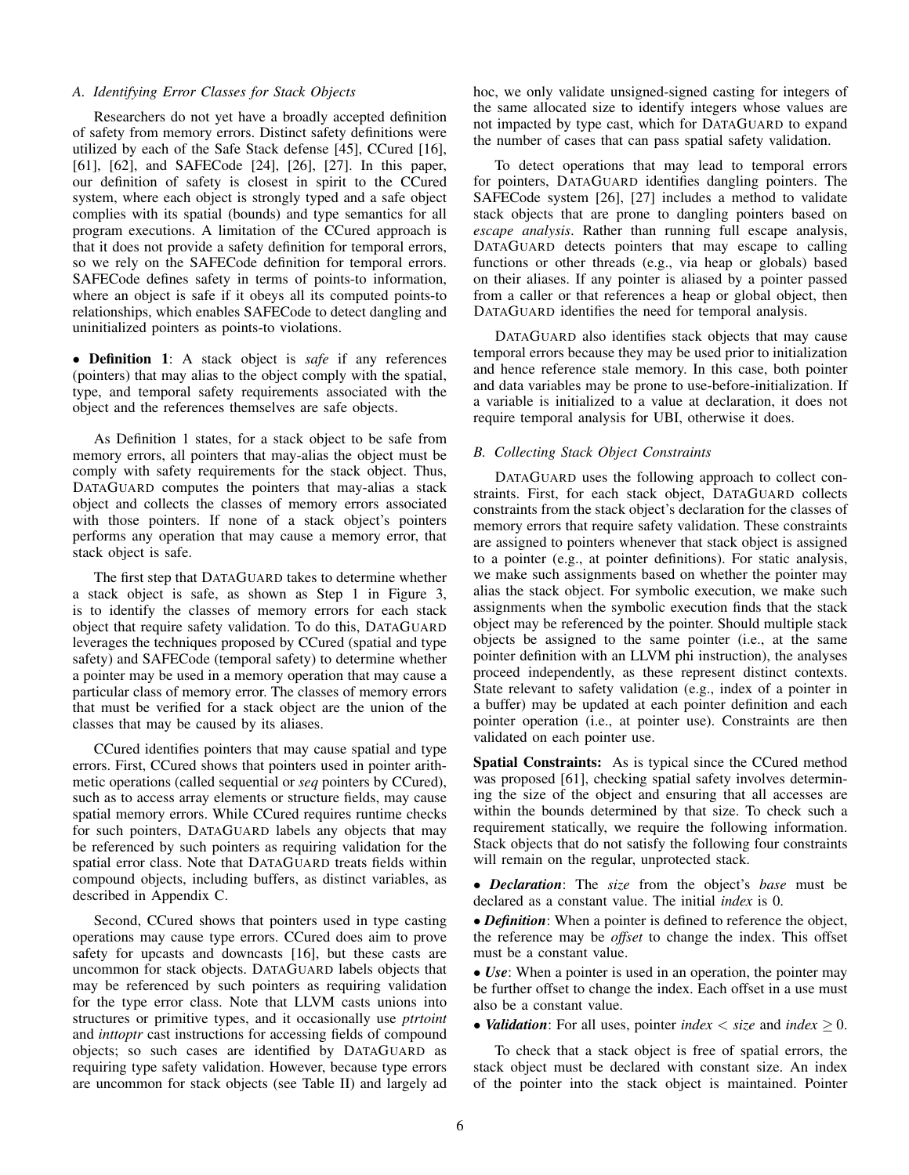# <span id="page-5-0"></span>*A. Identifying Error Classes for Stack Objects*

Researchers do not yet have a broadly accepted definition of safety from memory errors. Distinct safety definitions were utilized by each of the Safe Stack defense [\[45\]](#page-14-5), CCured [\[16\]](#page-13-5), [\[61\]](#page-14-8), [\[62\]](#page-14-20), and SAFECode [\[24\]](#page-14-17), [\[26\]](#page-14-18), [\[27\]](#page-14-19). In this paper, our definition of safety is closest in spirit to the CCured system, where each object is strongly typed and a safe object complies with its spatial (bounds) and type semantics for all program executions. A limitation of the CCured approach is that it does not provide a safety definition for temporal errors, so we rely on the SAFECode definition for temporal errors. SAFECode defines safety in terms of points-to information, where an object is safe if it obeys all its computed points-to relationships, which enables SAFECode to detect dangling and uninitialized pointers as points-to violations.

• Definition 1: A stack object is *safe* if any references (pointers) that may alias to the object comply with the spatial, type, and temporal safety requirements associated with the object and the references themselves are safe objects.

As Definition 1 states, for a stack object to be safe from memory errors, all pointers that may-alias the object must be comply with safety requirements for the stack object. Thus, DATAGUARD computes the pointers that may-alias a stack object and collects the classes of memory errors associated with those pointers. If none of a stack object's pointers performs any operation that may cause a memory error, that stack object is safe.

The first step that DATAGUARD takes to determine whether a stack object is safe, as shown as Step 1 in Figure [3,](#page-4-0) is to identify the classes of memory errors for each stack object that require safety validation. To do this, DATAGUARD leverages the techniques proposed by CCured (spatial and type safety) and SAFECode (temporal safety) to determine whether a pointer may be used in a memory operation that may cause a particular class of memory error. The classes of memory errors that must be verified for a stack object are the union of the classes that may be caused by its aliases.

CCured identifies pointers that may cause spatial and type errors. First, CCured shows that pointers used in pointer arithmetic operations (called sequential or *seq* pointers by CCured), such as to access array elements or structure fields, may cause spatial memory errors. While CCured requires runtime checks for such pointers, DATAGUARD labels any objects that may be referenced by such pointers as requiring validation for the spatial error class. Note that DATAGUARD treats fields within compound objects, including buffers, as distinct variables, as described in Appendix [C.](#page-16-0)

Second, CCured shows that pointers used in type casting operations may cause type errors. CCured does aim to prove safety for upcasts and downcasts [\[16\]](#page-13-5), but these casts are uncommon for stack objects. DATAGUARD labels objects that may be referenced by such pointers as requiring validation for the type error class. Note that LLVM casts unions into structures or primitive types, and it occasionally use *ptrtoint* and *inttoptr* cast instructions for accessing fields of compound objects; so such cases are identified by DATAGUARD as requiring type safety validation. However, because type errors are uncommon for stack objects (see Table [II\)](#page-9-0) and largely ad hoc, we only validate unsigned-signed casting for integers of the same allocated size to identify integers whose values are not impacted by type cast, which for DATAGUARD to expand the number of cases that can pass spatial safety validation.

To detect operations that may lead to temporal errors for pointers, DATAGUARD identifies dangling pointers. The SAFECode system [\[26\]](#page-14-18), [\[27\]](#page-14-19) includes a method to validate stack objects that are prone to dangling pointers based on *escape analysis*. Rather than running full escape analysis, DATAGUARD detects pointers that may escape to calling functions or other threads (e.g., via heap or globals) based on their aliases. If any pointer is aliased by a pointer passed from a caller or that references a heap or global object, then DATAGUARD identifies the need for temporal analysis.

DATAGUARD also identifies stack objects that may cause temporal errors because they may be used prior to initialization and hence reference stale memory. In this case, both pointer and data variables may be prone to use-before-initialization. If a variable is initialized to a value at declaration, it does not require temporal analysis for UBI, otherwise it does.

# <span id="page-5-1"></span>*B. Collecting Stack Object Constraints*

DATAGUARD uses the following approach to collect constraints. First, for each stack object, DATAGUARD collects constraints from the stack object's declaration for the classes of memory errors that require safety validation. These constraints are assigned to pointers whenever that stack object is assigned to a pointer (e.g., at pointer definitions). For static analysis, we make such assignments based on whether the pointer may alias the stack object. For symbolic execution, we make such assignments when the symbolic execution finds that the stack object may be referenced by the pointer. Should multiple stack objects be assigned to the same pointer (i.e., at the same pointer definition with an LLVM phi instruction), the analyses proceed independently, as these represent distinct contexts. State relevant to safety validation (e.g., index of a pointer in a buffer) may be updated at each pointer definition and each pointer operation (i.e., at pointer use). Constraints are then validated on each pointer use.

Spatial Constraints: As is typical since the CCured method was proposed [\[61\]](#page-14-8), checking spatial safety involves determining the size of the object and ensuring that all accesses are within the bounds determined by that size. To check such a requirement statically, we require the following information. Stack objects that do not satisfy the following four constraints will remain on the regular, unprotected stack.

• *Declaration*: The *size* from the object's *base* must be declared as a constant value. The initial *index* is 0.

• *Definition*: When a pointer is defined to reference the object, the reference may be *offset* to change the index. This offset must be a constant value.

• *Use*: When a pointer is used in an operation, the pointer may be further offset to change the index. Each offset in a use must also be a constant value.

• *Validation*: For all uses, pointer *index*  $\lt$  *size* and *index*  $\geq 0$ .

To check that a stack object is free of spatial errors, the stack object must be declared with constant size. An index of the pointer into the stack object is maintained. Pointer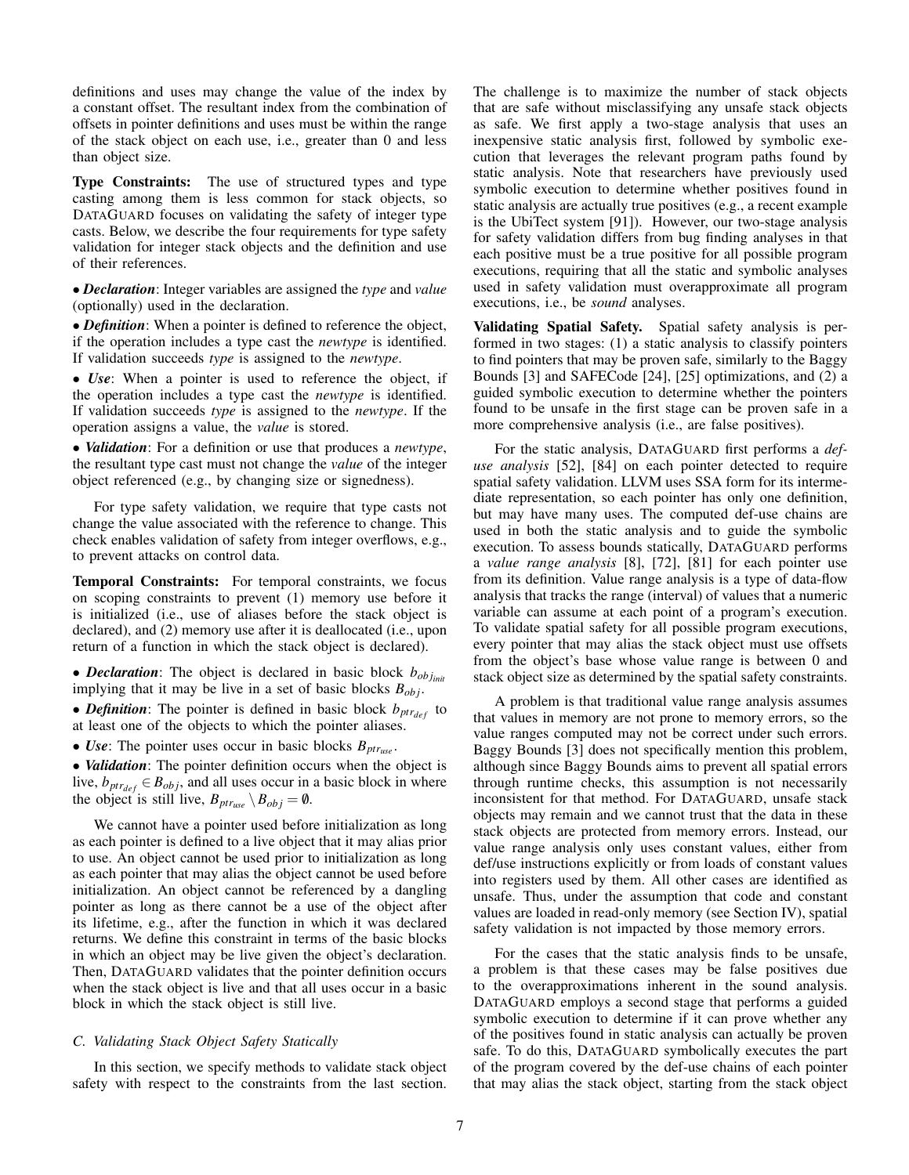definitions and uses may change the value of the index by a constant offset. The resultant index from the combination of offsets in pointer definitions and uses must be within the range of the stack object on each use, i.e., greater than 0 and less than object size.

Type Constraints: The use of structured types and type casting among them is less common for stack objects, so DATAGUARD focuses on validating the safety of integer type casts. Below, we describe the four requirements for type safety validation for integer stack objects and the definition and use of their references.

• *Declaration*: Integer variables are assigned the *type* and *value* (optionally) used in the declaration.

• *Definition*: When a pointer is defined to reference the object, if the operation includes a type cast the *newtype* is identified. If validation succeeds *type* is assigned to the *newtype*.

• *Use*: When a pointer is used to reference the object, if the operation includes a type cast the *newtype* is identified. If validation succeeds *type* is assigned to the *newtype*. If the operation assigns a value, the *value* is stored.

• *Validation*: For a definition or use that produces a *newtype*, the resultant type cast must not change the *value* of the integer object referenced (e.g., by changing size or signedness).

For type safety validation, we require that type casts not change the value associated with the reference to change. This check enables validation of safety from integer overflows, e.g., to prevent attacks on control data.

Temporal Constraints: For temporal constraints, we focus on scoping constraints to prevent (1) memory use before it is initialized (i.e., use of aliases before the stack object is declared), and (2) memory use after it is deallocated (i.e., upon return of a function in which the stack object is declared).

• *Declaration*: The object is declared in basic block *bob jinit* implying that it may be live in a set of basic blocks *Bob j*.

• *Definition*: The pointer is defined in basic block  $b_{ptr_{def}}$  to at least one of the objects to which the pointer aliases.

• *Use*: The pointer uses occur in basic blocks *Bptruse* .

• *Validation*: The pointer definition occurs when the object is live,  $b_{ptr_{def}} \in B_{obj}$ , and all uses occur in a basic block in where the object is still live,  $B_{ptr_{use}} \setminus B_{obj} = \emptyset$ .

We cannot have a pointer used before initialization as long as each pointer is defined to a live object that it may alias prior to use. An object cannot be used prior to initialization as long as each pointer that may alias the object cannot be used before initialization. An object cannot be referenced by a dangling pointer as long as there cannot be a use of the object after its lifetime, e.g., after the function in which it was declared returns. We define this constraint in terms of the basic blocks in which an object may be live given the object's declaration. Then, DATAGUARD validates that the pointer definition occurs when the stack object is live and that all uses occur in a basic block in which the stack object is still live.

# <span id="page-6-0"></span>*C. Validating Stack Object Safety Statically*

In this section, we specify methods to validate stack object safety with respect to the constraints from the last section. The challenge is to maximize the number of stack objects that are safe without misclassifying any unsafe stack objects as safe. We first apply a two-stage analysis that uses an inexpensive static analysis first, followed by symbolic execution that leverages the relevant program paths found by static analysis. Note that researchers have previously used symbolic execution to determine whether positives found in static analysis are actually true positives (e.g., a recent example is the UbiTect system [\[91\]](#page-15-12)). However, our two-stage analysis for safety validation differs from bug finding analyses in that each positive must be a true positive for all possible program executions, requiring that all the static and symbolic analyses used in safety validation must overapproximate all program executions, i.e., be *sound* analyses.

Validating Spatial Safety. Spatial safety analysis is performed in two stages: (1) a static analysis to classify pointers to find pointers that may be proven safe, similarly to the Baggy Bounds [\[3\]](#page-13-4) and SAFECode [\[24\]](#page-14-17), [\[25\]](#page-14-16) optimizations, and (2) a guided symbolic execution to determine whether the pointers found to be unsafe in the first stage can be proven safe in a more comprehensive analysis (i.e., are false positives).

For the static analysis, DATAGUARD first performs a *defuse analysis* [\[52\]](#page-14-31), [\[84\]](#page-15-19) on each pointer detected to require spatial safety validation. LLVM uses SSA form for its intermediate representation, so each pointer has only one definition, but may have many uses. The computed def-use chains are used in both the static analysis and to guide the symbolic execution. To assess bounds statically, DATAGUARD performs a *value range analysis* [\[8\]](#page-13-8), [\[72\]](#page-15-20), [\[81\]](#page-15-21) for each pointer use from its definition. Value range analysis is a type of data-flow analysis that tracks the range (interval) of values that a numeric variable can assume at each point of a program's execution. To validate spatial safety for all possible program executions, every pointer that may alias the stack object must use offsets from the object's base whose value range is between 0 and stack object size as determined by the spatial safety constraints.

A problem is that traditional value range analysis assumes that values in memory are not prone to memory errors, so the value ranges computed may not be correct under such errors. Baggy Bounds [\[3\]](#page-13-4) does not specifically mention this problem, although since Baggy Bounds aims to prevent all spatial errors through runtime checks, this assumption is not necessarily inconsistent for that method. For DATAGUARD, unsafe stack objects may remain and we cannot trust that the data in these stack objects are protected from memory errors. Instead, our value range analysis only uses constant values, either from def/use instructions explicitly or from loads of constant values into registers used by them. All other cases are identified as unsafe. Thus, under the assumption that code and constant values are loaded in read-only memory (see Section [IV\)](#page-4-2), spatial safety validation is not impacted by those memory errors.

For the cases that the static analysis finds to be unsafe, a problem is that these cases may be false positives due to the overapproximations inherent in the sound analysis. DATAGUARD employs a second stage that performs a guided symbolic execution to determine if it can prove whether any of the positives found in static analysis can actually be proven safe. To do this, DATAGUARD symbolically executes the part of the program covered by the def-use chains of each pointer that may alias the stack object, starting from the stack object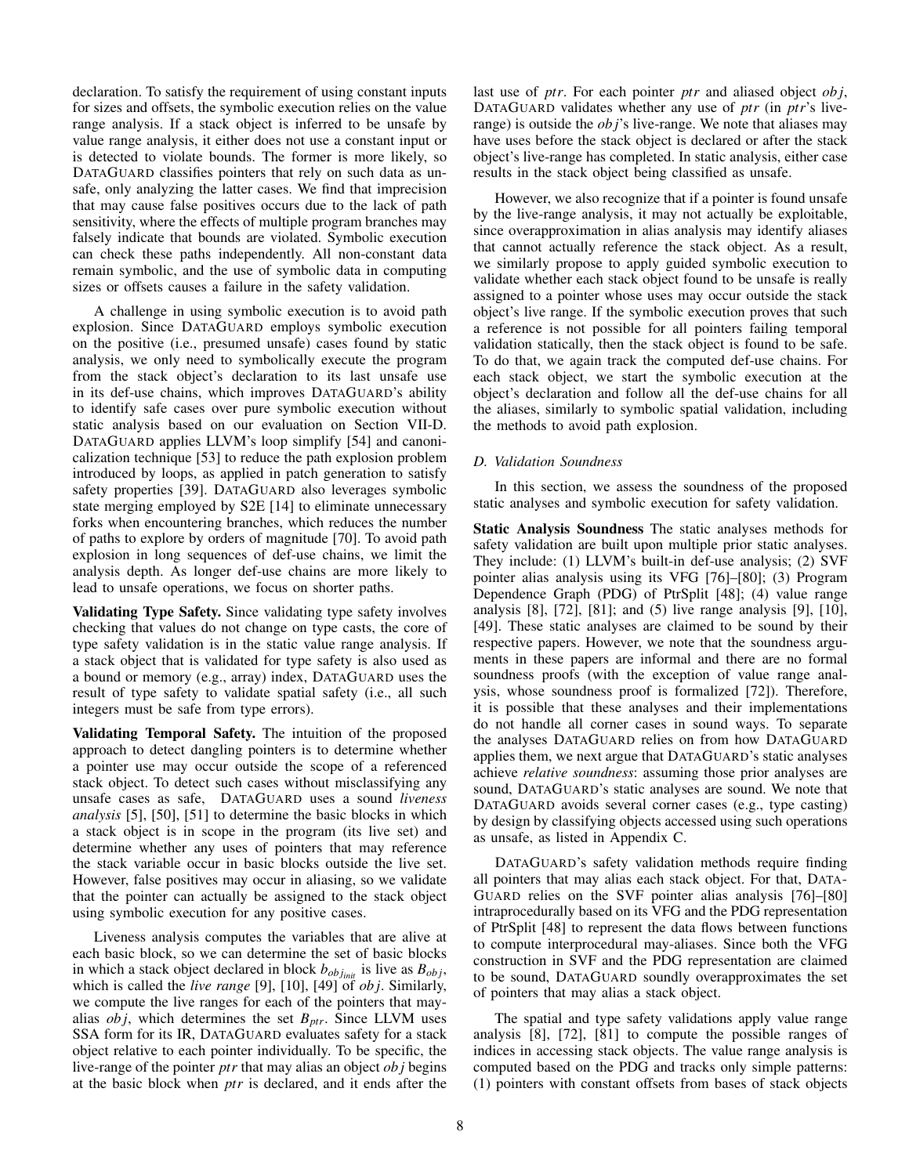declaration. To satisfy the requirement of using constant inputs for sizes and offsets, the symbolic execution relies on the value range analysis. If a stack object is inferred to be unsafe by value range analysis, it either does not use a constant input or is detected to violate bounds. The former is more likely, so DATAGUARD classifies pointers that rely on such data as unsafe, only analyzing the latter cases. We find that imprecision that may cause false positives occurs due to the lack of path sensitivity, where the effects of multiple program branches may falsely indicate that bounds are violated. Symbolic execution can check these paths independently. All non-constant data remain symbolic, and the use of symbolic data in computing sizes or offsets causes a failure in the safety validation.

A challenge in using symbolic execution is to avoid path explosion. Since DATAGUARD employs symbolic execution on the positive (i.e., presumed unsafe) cases found by static analysis, we only need to symbolically execute the program from the stack object's declaration to its last unsafe use in its def-use chains, which improves DATAGUARD's ability to identify safe cases over pure symbolic execution without static analysis based on our evaluation on Section [VII-D.](#page-10-0) DATAGUARD applies LLVM's loop simplify [\[54\]](#page-14-32) and canonicalization technique [\[53\]](#page-14-33) to reduce the path explosion problem introduced by loops, as applied in patch generation to satisfy safety properties [\[39\]](#page-14-34). DATAGUARD also leverages symbolic state merging employed by S2E [\[14\]](#page-13-9) to eliminate unnecessary forks when encountering branches, which reduces the number of paths to explore by orders of magnitude [\[70\]](#page-15-22). To avoid path explosion in long sequences of def-use chains, we limit the analysis depth. As longer def-use chains are more likely to lead to unsafe operations, we focus on shorter paths.

Validating Type Safety. Since validating type safety involves checking that values do not change on type casts, the core of type safety validation is in the static value range analysis. If a stack object that is validated for type safety is also used as a bound or memory (e.g., array) index, DATAGUARD uses the result of type safety to validate spatial safety (i.e., all such integers must be safe from type errors).

Validating Temporal Safety. The intuition of the proposed approach to detect dangling pointers is to determine whether a pointer use may occur outside the scope of a referenced stack object. To detect such cases without misclassifying any unsafe cases as safe, DATAGUARD uses a sound *liveness analysis* [\[5\]](#page-13-10), [\[50\]](#page-14-35), [\[51\]](#page-14-36) to determine the basic blocks in which a stack object is in scope in the program (its live set) and determine whether any uses of pointers that may reference the stack variable occur in basic blocks outside the live set. However, false positives may occur in aliasing, so we validate that the pointer can actually be assigned to the stack object using symbolic execution for any positive cases.

Liveness analysis computes the variables that are alive at each basic block, so we can determine the set of basic blocks in which a stack object declared in block  $b_{obj_{init}}$  is live as  $B_{obj}$ , which is called the *live range* [\[9\]](#page-13-11), [\[10\]](#page-13-12), [\[49\]](#page-14-37) of *ob j*. Similarly, we compute the live ranges for each of the pointers that mayalias  $obj$ , which determines the set  $B_{ptr}$ . Since LLVM uses SSA form for its IR, DATAGUARD evaluates safety for a stack object relative to each pointer individually. To be specific, the live-range of the pointer *ptr* that may alias an object *ob j* begins at the basic block when *ptr* is declared, and it ends after the last use of *ptr*. For each pointer *ptr* and aliased object *ob j*, DATAGUARD validates whether any use of *ptr* (in *ptr*'s liverange) is outside the *ob j*'s live-range. We note that aliases may have uses before the stack object is declared or after the stack object's live-range has completed. In static analysis, either case results in the stack object being classified as unsafe.

However, we also recognize that if a pointer is found unsafe by the live-range analysis, it may not actually be exploitable, since overapproximation in alias analysis may identify aliases that cannot actually reference the stack object. As a result, we similarly propose to apply guided symbolic execution to validate whether each stack object found to be unsafe is really assigned to a pointer whose uses may occur outside the stack object's live range. If the symbolic execution proves that such a reference is not possible for all pointers failing temporal validation statically, then the stack object is found to be safe. To do that, we again track the computed def-use chains. For each stack object, we start the symbolic execution at the object's declaration and follow all the def-use chains for all the aliases, similarly to symbolic spatial validation, including the methods to avoid path explosion.

# <span id="page-7-0"></span>*D. Validation Soundness*

In this section, we assess the soundness of the proposed static analyses and symbolic execution for safety validation.

Static Analysis Soundness The static analyses methods for safety validation are built upon multiple prior static analyses. They include: (1) LLVM's built-in def-use analysis; (2) SVF pointer alias analysis using its VFG [\[76\]](#page-15-23)–[\[80\]](#page-15-24); (3) Program Dependence Graph (PDG) of PtrSplit [\[48\]](#page-14-38); (4) value range analysis [\[8\]](#page-13-8), [\[72\]](#page-15-20), [\[81\]](#page-15-21); and (5) live range analysis [\[9\]](#page-13-11), [\[10\]](#page-13-12), [\[49\]](#page-14-37). These static analyses are claimed to be sound by their respective papers. However, we note that the soundness arguments in these papers are informal and there are no formal soundness proofs (with the exception of value range analysis, whose soundness proof is formalized [\[72\]](#page-15-20)). Therefore, it is possible that these analyses and their implementations do not handle all corner cases in sound ways. To separate the analyses DATAGUARD relies on from how DATAGUARD applies them, we next argue that DATAGUARD's static analyses achieve *relative soundness*: assuming those prior analyses are sound, DATAGUARD's static analyses are sound. We note that DATAGUARD avoids several corner cases (e.g., type casting) by design by classifying objects accessed using such operations as unsafe, as listed in Appendix [C.](#page-16-0)

DATAGUARD's safety validation methods require finding all pointers that may alias each stack object. For that, DATA-GUARD relies on the SVF pointer alias analysis [\[76\]](#page-15-23)–[\[80\]](#page-15-24) intraprocedurally based on its VFG and the PDG representation of PtrSplit [\[48\]](#page-14-38) to represent the data flows between functions to compute interprocedural may-aliases. Since both the VFG construction in SVF and the PDG representation are claimed to be sound, DATAGUARD soundly overapproximates the set of pointers that may alias a stack object.

The spatial and type safety validations apply value range analysis [\[8\]](#page-13-8), [\[72\]](#page-15-20), [\[81\]](#page-15-21) to compute the possible ranges of indices in accessing stack objects. The value range analysis is computed based on the PDG and tracks only simple patterns: (1) pointers with constant offsets from bases of stack objects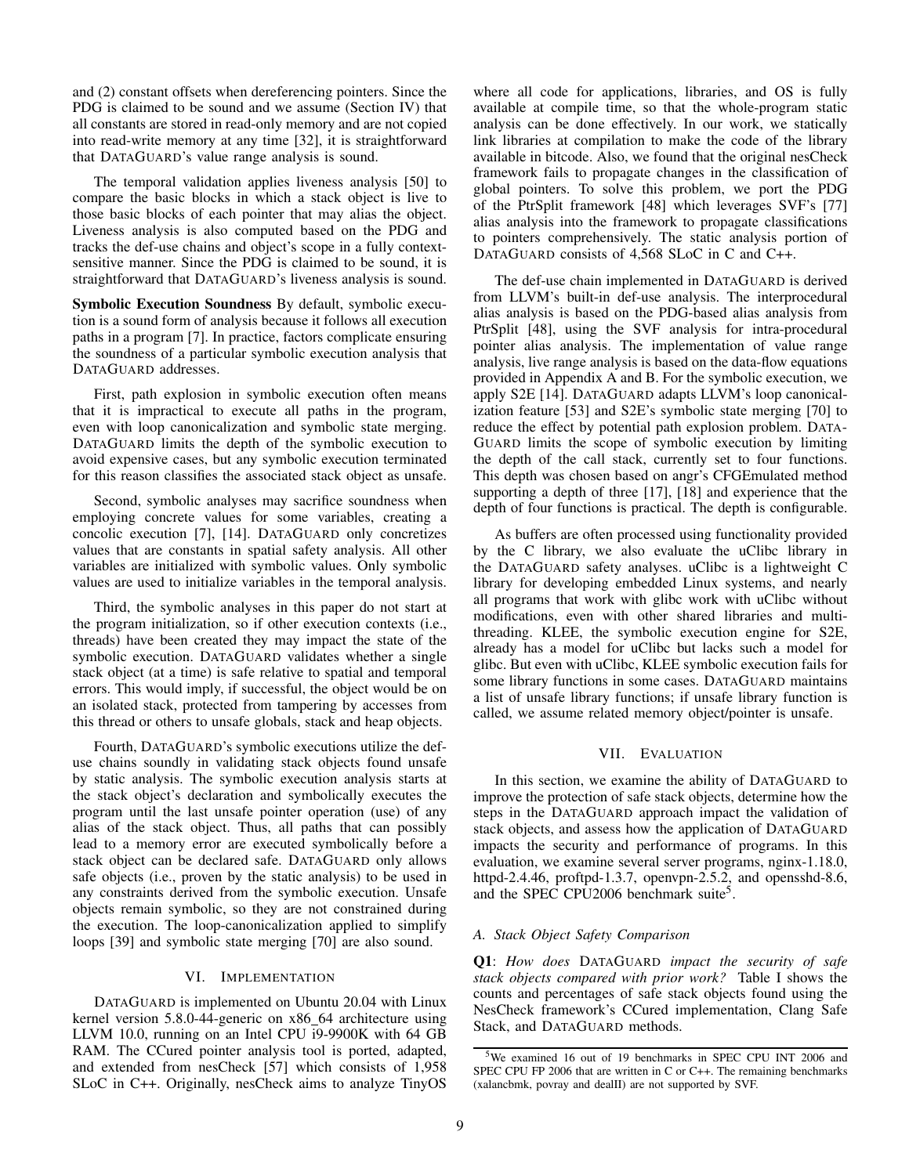and (2) constant offsets when dereferencing pointers. Since the PDG is claimed to be sound and we assume (Section [IV\)](#page-4-2) that all constants are stored in read-only memory and are not copied into read-write memory at any time [\[32\]](#page-14-30), it is straightforward that DATAGUARD's value range analysis is sound.

The temporal validation applies liveness analysis [\[50\]](#page-14-35) to compare the basic blocks in which a stack object is live to those basic blocks of each pointer that may alias the object. Liveness analysis is also computed based on the PDG and tracks the def-use chains and object's scope in a fully contextsensitive manner. Since the PDG is claimed to be sound, it is straightforward that DATAGUARD's liveness analysis is sound.

Symbolic Execution Soundness By default, symbolic execution is a sound form of analysis because it follows all execution paths in a program [\[7\]](#page-13-13). In practice, factors complicate ensuring the soundness of a particular symbolic execution analysis that DATAGUARD addresses.

First, path explosion in symbolic execution often means that it is impractical to execute all paths in the program, even with loop canonicalization and symbolic state merging. DATAGUARD limits the depth of the symbolic execution to avoid expensive cases, but any symbolic execution terminated for this reason classifies the associated stack object as unsafe.

Second, symbolic analyses may sacrifice soundness when employing concrete values for some variables, creating a concolic execution [\[7\]](#page-13-13), [\[14\]](#page-13-9). DATAGUARD only concretizes values that are constants in spatial safety analysis. All other variables are initialized with symbolic values. Only symbolic values are used to initialize variables in the temporal analysis.

Third, the symbolic analyses in this paper do not start at the program initialization, so if other execution contexts (i.e., threads) have been created they may impact the state of the symbolic execution. DATAGUARD validates whether a single stack object (at a time) is safe relative to spatial and temporal errors. This would imply, if successful, the object would be on an isolated stack, protected from tampering by accesses from this thread or others to unsafe globals, stack and heap objects.

Fourth, DATAGUARD's symbolic executions utilize the defuse chains soundly in validating stack objects found unsafe by static analysis. The symbolic execution analysis starts at the stack object's declaration and symbolically executes the program until the last unsafe pointer operation (use) of any alias of the stack object. Thus, all paths that can possibly lead to a memory error are executed symbolically before a stack object can be declared safe. DATAGUARD only allows safe objects (i.e., proven by the static analysis) to be used in any constraints derived from the symbolic execution. Unsafe objects remain symbolic, so they are not constrained during the execution. The loop-canonicalization applied to simplify loops [\[39\]](#page-14-34) and symbolic state merging [\[70\]](#page-15-22) are also sound.

# VI. IMPLEMENTATION

DATAGUARD is implemented on Ubuntu 20.04 with Linux kernel version 5.8.0-44-generic on x86\_64 architecture using LLVM 10.0, running on an Intel CPU i9-9900K with 64 GB RAM. The CCured pointer analysis tool is ported, adapted, and extended from nesCheck [\[57\]](#page-14-39) which consists of 1,958 SLoC in C++. Originally, nesCheck aims to analyze TinyOS where all code for applications, libraries, and OS is fully available at compile time, so that the whole-program static analysis can be done effectively. In our work, we statically link libraries at compilation to make the code of the library available in bitcode. Also, we found that the original nesCheck framework fails to propagate changes in the classification of global pointers. To solve this problem, we port the PDG of the PtrSplit framework [\[48\]](#page-14-38) which leverages SVF's [\[77\]](#page-15-25) alias analysis into the framework to propagate classifications to pointers comprehensively. The static analysis portion of DATAGUARD consists of 4,568 SLoC in C and C++.

The def-use chain implemented in DATAGUARD is derived from LLVM's built-in def-use analysis. The interprocedural alias analysis is based on the PDG-based alias analysis from PtrSplit [\[48\]](#page-14-38), using the SVF analysis for intra-procedural pointer alias analysis. The implementation of value range analysis, live range analysis is based on the data-flow equations provided in Appendix [A](#page-15-26) and [B.](#page-15-27) For the symbolic execution, we apply S2E [\[14\]](#page-13-9). DATAGUARD adapts LLVM's loop canonicalization feature [\[53\]](#page-14-33) and S2E's symbolic state merging [\[70\]](#page-15-22) to reduce the effect by potential path explosion problem. DATA-GUARD limits the scope of symbolic execution by limiting the depth of the call stack, currently set to four functions. This depth was chosen based on angr's CFGEmulated method supporting a depth of three [\[17\]](#page-13-14), [\[18\]](#page-13-15) and experience that the depth of four functions is practical. The depth is configurable.

As buffers are often processed using functionality provided by the C library, we also evaluate the uClibc library in the DATAGUARD safety analyses. uClibc is a lightweight C library for developing embedded Linux systems, and nearly all programs that work with glibc work with uClibc without modifications, even with other shared libraries and multithreading. KLEE, the symbolic execution engine for S2E, already has a model for uClibc but lacks such a model for glibc. But even with uClibc, KLEE symbolic execution fails for some library functions in some cases. DATAGUARD maintains a list of unsafe library functions; if unsafe library function is called, we assume related memory object/pointer is unsafe.

# VII. EVALUATION

<span id="page-8-0"></span>In this section, we examine the ability of DATAGUARD to improve the protection of safe stack objects, determine how the steps in the DATAGUARD approach impact the validation of stack objects, and assess how the application of DATAGUARD impacts the security and performance of programs. In this evaluation, we examine several server programs, nginx-1.18.0, httpd-2.4.46, proftpd-1.3.7, openvpn-2.5.2, and opensshd-8.6, and the SPEC CPU2006 benchmark suite<sup>[5](#page-8-1)</sup>.

# *A. Stack Object Safety Comparison*

Q1: *How does* DATAGUARD *impact the security of safe stack objects compared with prior work?* Table [I](#page-9-1) shows the counts and percentages of safe stack objects found using the NesCheck framework's CCured implementation, Clang Safe Stack, and DATAGUARD methods.

<span id="page-8-1"></span><sup>5</sup>We examined 16 out of 19 benchmarks in SPEC CPU INT 2006 and SPEC CPU FP 2006 that are written in C or C++. The remaining benchmarks (xalancbmk, povray and dealII) are not supported by SVF.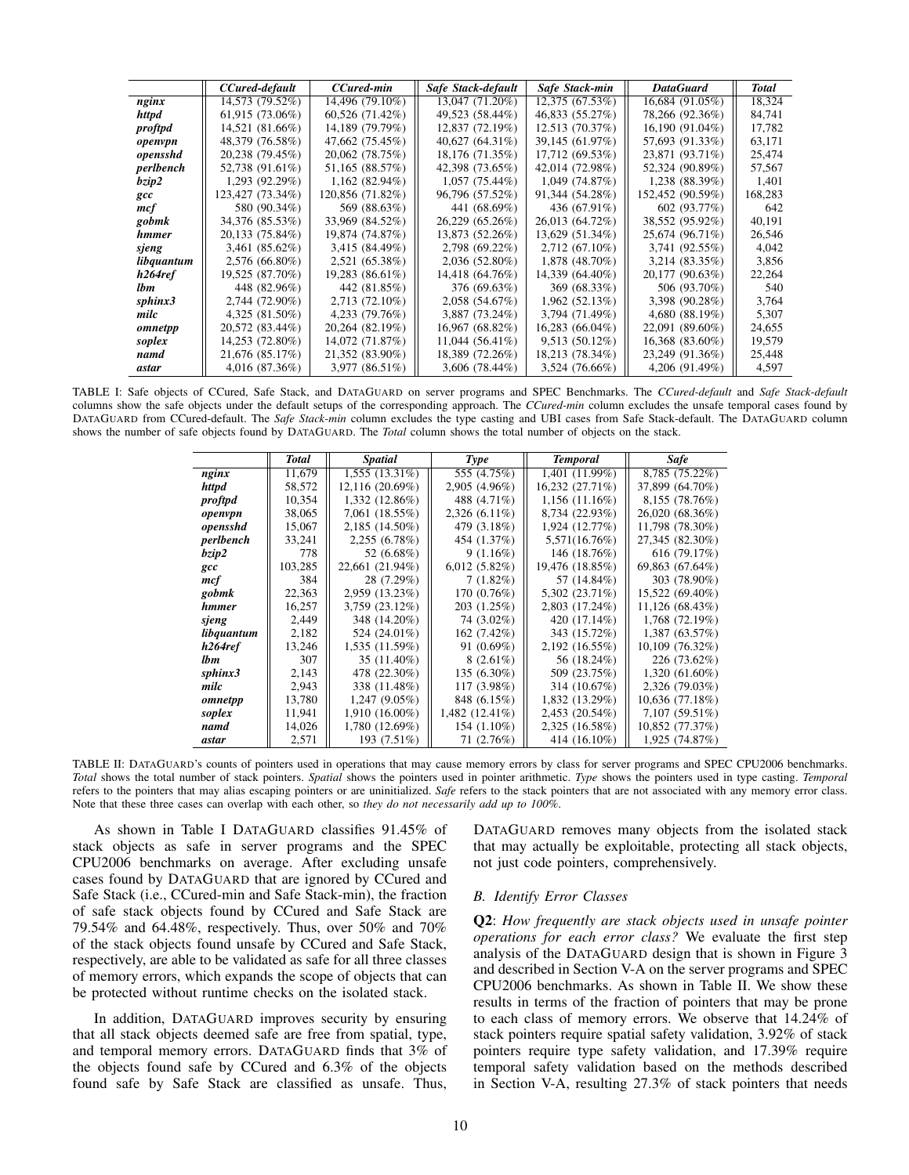<span id="page-9-1"></span>

|              | CCured-default   | CCured-min       | Safe Stack-default | Safe Stack-min  | <b>DataGuard</b>    | Total   |
|--------------|------------------|------------------|--------------------|-----------------|---------------------|---------|
| nginx        | 14,573 (79.52%)  | 14,496 (79.10%)  | 13,047 (71.20%)    | 12,375 (67.53%) | 16,684 (91.05%)     | 18,324  |
| httpd        | 61,915(73.06%)   | 60,526 (71.42%)  | 49,523 (58.44%)    | 46,833 (55.27%) | 78,266 (92.36%)     | 84,741  |
| proftpd      | 14,521 (81.66%)  | 14,189 (79.79%)  | 12,837 (72.19%)    | 12.513 (70.37%) | 16,190 (91.04%)     | 17.782  |
| openvpn      | 48,379 (76.58%)  | 47,662 (75.45%)  | 40,627 (64.31%)    | 39,145 (61.97%) | 57,693 (91.33%)     | 63,171  |
| opensshd     | 20,238 (79.45%)  | 20,062 (78.75%)  | 18,176 (71.35%)    | 17,712 (69.53%) | 23,871 (93.71%)     | 25,474  |
| perlbench    | 52,738 (91.61%)  | 51,165 (88.57%)  | 42,398 (73.65%)    | 42,014 (72.98%) | 52,324 (90.89%)     | 57,567  |
| bzip2        | $1,293$ (92.29%) | $1,162(82.94\%)$ | $1,057(75.44\%)$   | 1,049 (74.87%)  | 1,238 (88.39%)      | 1,401   |
| $\mathbf{c}$ | 123,427 (73.34%) | 120,856 (71.82%) | 96,796 (57.52%)    | 91,344 (54.28%) | 152,452 (90.59%)    | 168,283 |
| mcf          | 580 (90.34%)     | 569 (88.63%)     | 441 (68.69%)       | 436 (67.91%)    | 602 (93.77%)        | 642     |
| gobmk        | 34,376 (85.53%)  | 33,969 (84.52%)  | 26,229 (65.26%)    | 26,013 (64.72%) | 38,552 (95.92%)     | 40,191  |
| hmmer        | 20,133 (75.84%)  | 19,874 (74.87%)  | 13,873 (52.26%)    | 13,629 (51.34%) | 25,674 (96.71%)     | 26,546  |
| sjeng        | 3,461 (85.62%)   | 3,415 (84.49%)   | $2,798(69.22\%)$   | 2,712 (67.10%)  | 3,741 (92.55%)      | 4,042   |
| libquantum   | $2,576(66.80\%)$ | 2,521 (65.38%)   | 2,036 (52.80%)     | 1,878 (48.70%)  | $3,214$ $(83.35\%)$ | 3,856   |
| h264ref      | 19,525 (87.70%)  | 19,283 (86.61%)  | 14,418 (64.76%)    | 14,339 (64.40%) | 20,177 (90.63%)     | 22,264  |
| lbm          | 448 (82.96%)     | 442 (81.85%)     | 376 (69.63%)       | 369 (68.33%)    | 506 (93.70%)        | 540     |
| sphinx3      | 2,744 (72.90%)   | 2,713 (72.10%)   | 2,058(54.67%)      | 1,962 (52.13%)  | 3,398 (90.28%)      | 3,764   |
| milc         | $4,325(81.50\%)$ | 4,233 (79.76%)   | 3,887 (73.24%)     | 3,794 (71.49%)  | 4,680(88.19%)       | 5,307   |
| omnetpp      | 20,572 (83.44%)  | 20,264 (82.19%)  | 16,967 (68.82%)    | 16,283 (66.04%) | 22,091 (89.60%)     | 24,655  |
| soplex       | 14,253 (72.80%)  | 14,072 (71.87%)  | $11,044(56.41\%)$  | 9,513 (50.12%)  | 16,368 (83.60%)     | 19,579  |
| namd         | 21,676 (85.17%)  | 21,352 (83.90%)  | 18,389 (72.26%)    | 18,213 (78.34%) | 23,249 (91.36%)     | 25,448  |
| astar        | 4,016 (87.36%)   | $3,977(86.51\%)$ | $3,606$ (78.44%)   | 3,524 (76.66%)  | 4,206 (91.49%)      | 4,597   |

<span id="page-9-0"></span>TABLE I: Safe objects of CCured, Safe Stack, and DATAGUARD on server programs and SPEC Benchmarks. The *CCured-default* and *Safe Stack-default* columns show the safe objects under the default setups of the corresponding approach. The *CCured-min* column excludes the unsafe temporal cases found by DATAGUARD from CCured-default. The *Safe Stack-min* column excludes the type casting and UBI cases from Safe Stack-default. The DATAGUARD column shows the number of safe objects found by DATAGUARD. The *Total* column shows the total number of objects on the stack.

|            | Total   | <i>Spatial</i>  | Type            | <b>Temporal</b>  | <b>Safe</b>     |
|------------|---------|-----------------|-----------------|------------------|-----------------|
|            |         |                 |                 |                  |                 |
| nginx      | 11,679  | 1,555 (13.31%)  | 555 (4.75%)     | 1,401 (11.99%)   | 8,785 (75.22%)  |
| httpd      | 58,572  | 12,116 (20.69%) | 2,905 (4.96%)   | 16,232 (27.71%)  | 37,899 (64.70%) |
| proftpd    | 10,354  | 1,332 (12.86%)  | 488 (4.71%)     | $1,156(11.16\%)$ | 8,155 (78.76%)  |
| openvpn    | 38,065  | 7,061 (18.55%)  | $2,326(6.11\%)$ | 8,734 (22.93%)   | 26.020 (68.36%) |
| opensshd   | 15,067  | 2,185 (14.50%)  | 479 (3.18%)     | 1,924 (12.77%)   | 11,798 (78.30%) |
| perlbench  | 33,241  | 2,255 (6.78%)   | 454 (1.37%)     | 5,571(16.76%)    | 27,345 (82.30%) |
| bzip2      | 778     | 52 (6.68%)      | 9(1.16%)        | 146 (18.76%)     | 616 (79.17%)    |
| gcc        | 103,285 | 22,661 (21.94%) | $6,012(5.82\%)$ | 19,476 (18.85%)  | 69,863 (67.64%) |
| mcf        | 384     | 28 (7.29%)      | $7(1.82\%)$     | 57 (14.84%)      | 303 (78.90%)    |
| gobmk      | 22,363  | 2,959 (13.23%)  | 170(0.76%)      | 5,302 (23.71%)   | 15,522 (69.40%) |
| hmmer      | 16,257  | 3,759 (23.12%)  | 203 (1.25%)     | 2,803 (17.24%)   | 11,126 (68.43%) |
| sjeng      | 2,449   | 348 (14.20%)    | 74 (3.02%)      | 420 (17.14%)     | 1,768 (72.19%)  |
| libquantum | 2,182   | 524 (24.01%)    | $162(7.42\%)$   | 343 (15.72%)     | 1,387 (63.57%)  |
| h264ref    | 13,246  | 1,535 (11.59%)  | $91(0.69\%)$    | 2,192 (16.55%)   | 10,109 (76.32%) |
| <i>lbm</i> | 307     | 35 (11.40%)     | $8(2.61\%)$     | 56 (18.24%)      | 226 (73.62%)    |
| sphinx3    | 2,143   | 478 (22.30%)    | 135 (6.30%)     | 509 (23.75%)     | 1,320 (61.60%)  |
| milc       | 2,943   | 338 (11.48%)    | 117 (3.98%)     | 314 (10.67%)     | 2,326 (79.03%)  |
| omnetpp    | 13,780  | 1,247 (9.05%)   | 848 (6.15%)     | 1,832 (13.29%)   | 10,636 (77.18%) |
| soplex     | 11,941  | 1,910 (16.00%)  | 1,482 (12.41%)  | 2,453 (20.54%)   | 7,107 (59.51%)  |
| namd       | 14,026  | 1,780 (12.69%)  | $154(1.10\%)$   | 2,325 (16.58%)   | 10,852 (77.37%) |
| astar      | 2,571   | 193 (7.51%)     | 71 (2.76%)      | 414 (16.10%)     | 1,925 (74.87%)  |

TABLE II: DATAGUARD's counts of pointers used in operations that may cause memory errors by class for server programs and SPEC CPU2006 benchmarks. *Total* shows the total number of stack pointers. *Spatial* shows the pointers used in pointer arithmetic. *Type* shows the pointers used in type casting. *Temporal* refers to the pointers that may alias escaping pointers or are uninitialized. *Safe* refers to the stack pointers that are not associated with any memory error class. Note that these three cases can overlap with each other, so *they do not necessarily add up to 100%*.

As shown in Table [I](#page-9-1) DATAGUARD classifies 91.45% of stack objects as safe in server programs and the SPEC CPU2006 benchmarks on average. After excluding unsafe cases found by DATAGUARD that are ignored by CCured and Safe Stack (i.e., CCured-min and Safe Stack-min), the fraction of safe stack objects found by CCured and Safe Stack are 79.54% and 64.48%, respectively. Thus, over 50% and 70% of the stack objects found unsafe by CCured and Safe Stack, respectively, are able to be validated as safe for all three classes of memory errors, which expands the scope of objects that can be protected without runtime checks on the isolated stack.

In addition, DATAGUARD improves security by ensuring that all stack objects deemed safe are free from spatial, type, and temporal memory errors. DATAGUARD finds that 3% of the objects found safe by CCured and 6.3% of the objects found safe by Safe Stack are classified as unsafe. Thus, DATAGUARD removes many objects from the isolated stack that may actually be exploitable, protecting all stack objects, not just code pointers, comprehensively.

## *B. Identify Error Classes*

Q2: *How frequently are stack objects used in unsafe pointer operations for each error class?* We evaluate the first step analysis of the DATAGUARD design that is shown in Figure [3](#page-4-0) and described in Section [V-A](#page-5-0) on the server programs and SPEC CPU2006 benchmarks. As shown in Table [II.](#page-9-0) We show these results in terms of the fraction of pointers that may be prone to each class of memory errors. We observe that 14.24% of stack pointers require spatial safety validation, 3.92% of stack pointers require type safety validation, and 17.39% require temporal safety validation based on the methods described in Section [V-A,](#page-5-0) resulting 27.3% of stack pointers that needs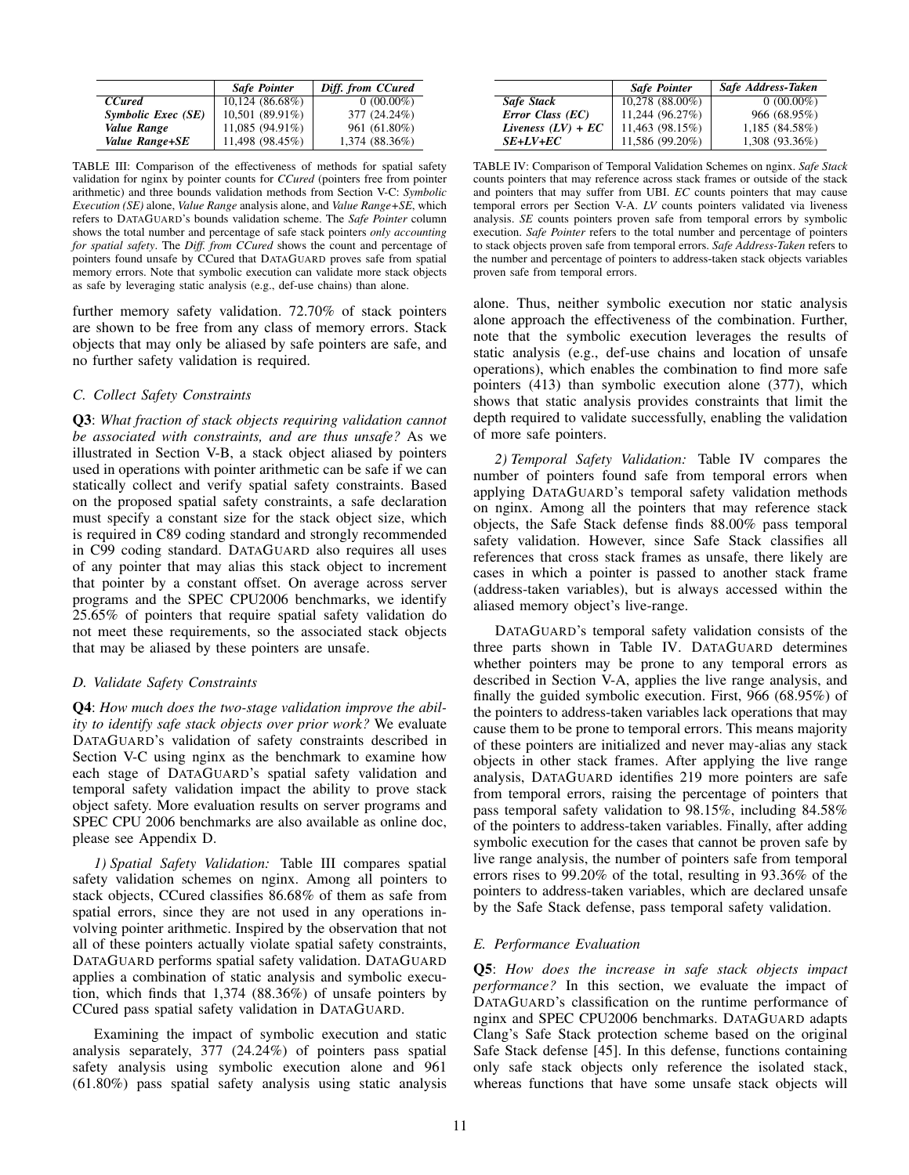<span id="page-10-1"></span>

|                    | <b>Safe Pointer</b> | Diff. from CCured |
|--------------------|---------------------|-------------------|
| <b>CCured</b>      | 10,124 (86.68%)     | $0(00.00\%)$      |
| Symbolic Exec (SE) | 10,501 (89.91%)     | 377 (24.24%)      |
| Value Range        | 11,085 (94.91%)     | 961 (61.80%)      |
| Value Range+SE     | 11,498 (98.45%)     | 1,374 (88.36%)    |

TABLE III: Comparison of the effectiveness of methods for spatial safety validation for nginx by pointer counts for *CCured* (pointers free from pointer arithmetic) and three bounds validation methods from Section [V-C:](#page-6-0) *Symbolic Execution (SE)* alone, *Value Range* analysis alone, and *Value Range+SE*, which refers to DATAGUARD's bounds validation scheme. The *Safe Pointer* column shows the total number and percentage of safe stack pointers *only accounting for spatial safety*. The *Diff. from CCured* shows the count and percentage of pointers found unsafe by CCured that DATAGUARD proves safe from spatial memory errors. Note that symbolic execution can validate more stack objects as safe by leveraging static analysis (e.g., def-use chains) than alone.

further memory safety validation. 72.70% of stack pointers are shown to be free from any class of memory errors. Stack objects that may only be aliased by safe pointers are safe, and no further safety validation is required.

# *C. Collect Safety Constraints*

Q3: *What fraction of stack objects requiring validation cannot be associated with constraints, and are thus unsafe?* As we illustrated in Section [V-B,](#page-5-1) a stack object aliased by pointers used in operations with pointer arithmetic can be safe if we can statically collect and verify spatial safety constraints. Based on the proposed spatial safety constraints, a safe declaration must specify a constant size for the stack object size, which is required in C89 coding standard and strongly recommended in C99 coding standard. DATAGUARD also requires all uses of any pointer that may alias this stack object to increment that pointer by a constant offset. On average across server programs and the SPEC CPU2006 benchmarks, we identify 25.65% of pointers that require spatial safety validation do not meet these requirements, so the associated stack objects that may be aliased by these pointers are unsafe.

# <span id="page-10-0"></span>*D. Validate Safety Constraints*

Q4: *How much does the two-stage validation improve the ability to identify safe stack objects over prior work?* We evaluate DATAGUARD's validation of safety constraints described in Section [V-C](#page-6-0) using nginx as the benchmark to examine how each stage of DATAGUARD's spatial safety validation and temporal safety validation impact the ability to prove stack object safety. More evaluation results on server programs and SPEC CPU 2006 benchmarks are also available as online doc, please see Appendix [D.](#page-16-1)

*1) Spatial Safety Validation:* Table [III](#page-10-1) compares spatial safety validation schemes on nginx. Among all pointers to stack objects, CCured classifies 86.68% of them as safe from spatial errors, since they are not used in any operations involving pointer arithmetic. Inspired by the observation that not all of these pointers actually violate spatial safety constraints, DATAGUARD performs spatial safety validation. DATAGUARD applies a combination of static analysis and symbolic execution, which finds that 1,374 (88.36%) of unsafe pointers by CCured pass spatial safety validation in DATAGUARD.

Examining the impact of symbolic execution and static analysis separately, 377 (24.24%) of pointers pass spatial safety analysis using symbolic execution alone and 961 (61.80%) pass spatial safety analysis using static analysis

<span id="page-10-2"></span>

|                      | <b>Safe Pointer</b> | Safe Address-Taken |
|----------------------|---------------------|--------------------|
| Safe Stack           | 10,278 (88.00%)     | $0(00.00\%)$       |
| Error Class (EC)     | 11,244 (96.27%)     | 966 (68.95%)       |
| Liveness $(LV) + EC$ | 11,463 (98.15%)     | 1,185 (84.58%)     |
| $SE+LV+EC$           | 11,586 (99.20%)     | 1,308 (93.36%)     |

TABLE IV: Comparison of Temporal Validation Schemes on nginx. *Safe Stack* counts pointers that may reference across stack frames or outside of the stack and pointers that may suffer from UBI. *EC* counts pointers that may cause temporal errors per Section [V-A.](#page-5-0) *LV* counts pointers validated via liveness analysis. *SE* counts pointers proven safe from temporal errors by symbolic execution. *Safe Pointer* refers to the total number and percentage of pointers to stack objects proven safe from temporal errors. *Safe Address-Taken* refers to the number and percentage of pointers to address-taken stack objects variables proven safe from temporal errors.

alone. Thus, neither symbolic execution nor static analysis alone approach the effectiveness of the combination. Further, note that the symbolic execution leverages the results of static analysis (e.g., def-use chains and location of unsafe operations), which enables the combination to find more safe pointers (413) than symbolic execution alone (377), which shows that static analysis provides constraints that limit the depth required to validate successfully, enabling the validation of more safe pointers.

*2) Temporal Safety Validation:* Table [IV](#page-10-2) compares the number of pointers found safe from temporal errors when applying DATAGUARD's temporal safety validation methods on nginx. Among all the pointers that may reference stack objects, the Safe Stack defense finds 88.00% pass temporal safety validation. However, since Safe Stack classifies all references that cross stack frames as unsafe, there likely are cases in which a pointer is passed to another stack frame (address-taken variables), but is always accessed within the aliased memory object's live-range.

DATAGUARD's temporal safety validation consists of the three parts shown in Table [IV.](#page-10-2) DATAGUARD determines whether pointers may be prone to any temporal errors as described in Section [V-A,](#page-5-0) applies the live range analysis, and finally the guided symbolic execution. First, 966 (68.95%) of the pointers to address-taken variables lack operations that may cause them to be prone to temporal errors. This means majority of these pointers are initialized and never may-alias any stack objects in other stack frames. After applying the live range analysis, DATAGUARD identifies 219 more pointers are safe from temporal errors, raising the percentage of pointers that pass temporal safety validation to 98.15%, including 84.58% of the pointers to address-taken variables. Finally, after adding symbolic execution for the cases that cannot be proven safe by live range analysis, the number of pointers safe from temporal errors rises to 99.20% of the total, resulting in 93.36% of the pointers to address-taken variables, which are declared unsafe by the Safe Stack defense, pass temporal safety validation.

# *E. Performance Evaluation*

Q5: *How does the increase in safe stack objects impact performance?* In this section, we evaluate the impact of DATAGUARD's classification on the runtime performance of nginx and SPEC CPU2006 benchmarks. DATAGUARD adapts Clang's Safe Stack protection scheme based on the original Safe Stack defense [\[45\]](#page-14-5). In this defense, functions containing only safe stack objects only reference the isolated stack, whereas functions that have some unsafe stack objects will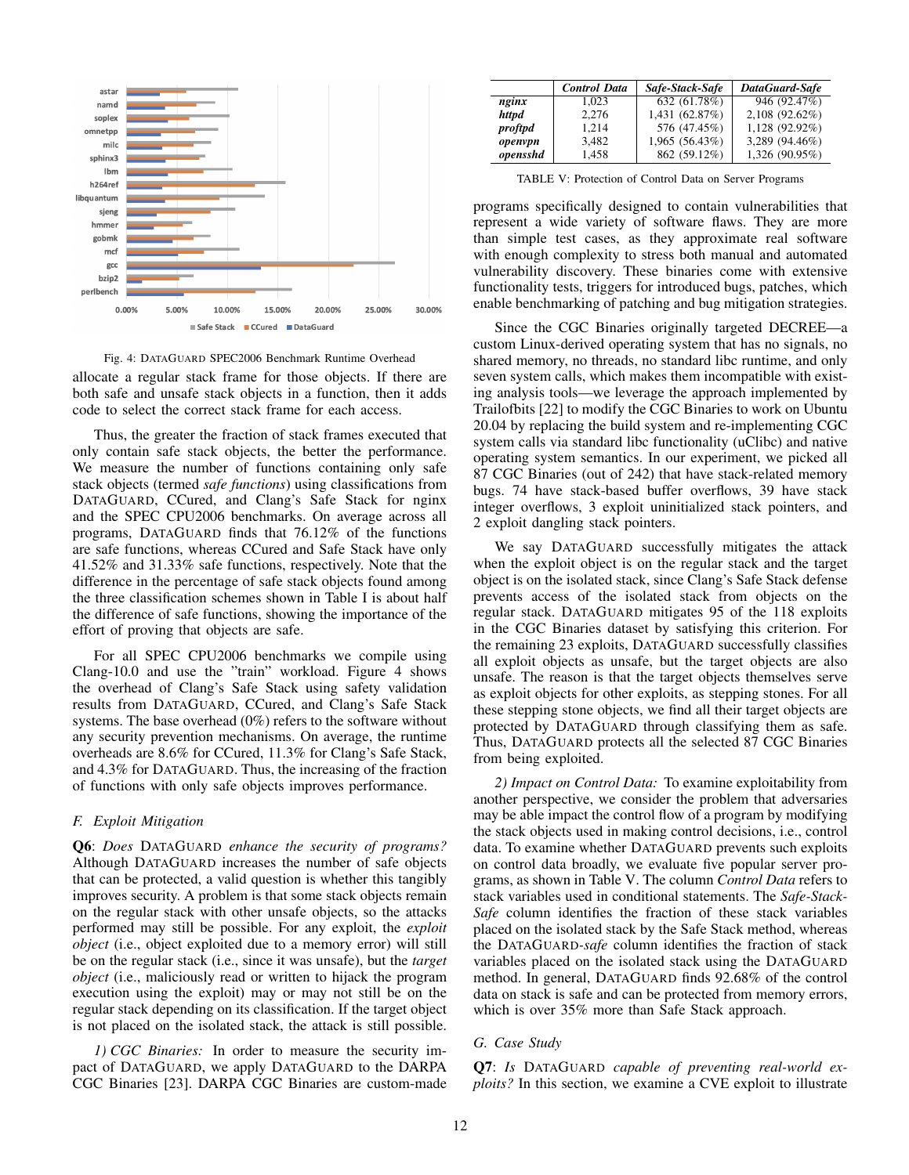<span id="page-11-1"></span>

Fig. 4: DATAGUARD SPEC2006 Benchmark Runtime Overhead

allocate a regular stack frame for those objects. If there are both safe and unsafe stack objects in a function, then it adds code to select the correct stack frame for each access.

Thus, the greater the fraction of stack frames executed that only contain safe stack objects, the better the performance. We measure the number of functions containing only safe stack objects (termed *safe functions*) using classifications from DATAGUARD, CCured, and Clang's Safe Stack for nginx and the SPEC CPU2006 benchmarks. On average across all programs, DATAGUARD finds that 76.12% of the functions are safe functions, whereas CCured and Safe Stack have only 41.52% and 31.33% safe functions, respectively. Note that the difference in the percentage of safe stack objects found among the three classification schemes shown in Table [I](#page-9-1) is about half the difference of safe functions, showing the importance of the effort of proving that objects are safe.

For all SPEC CPU2006 benchmarks we compile using Clang-10.0 and use the "train" workload. Figure [4](#page-11-1) shows the overhead of Clang's Safe Stack using safety validation results from DATAGUARD, CCured, and Clang's Safe Stack systems. The base overhead (0%) refers to the software without any security prevention mechanisms. On average, the runtime overheads are 8.6% for CCured, 11.3% for Clang's Safe Stack, and 4.3% for DATAGUARD. Thus, the increasing of the fraction of functions with only safe objects improves performance.

### <span id="page-11-4"></span>*F. Exploit Mitigation*

Q6: *Does* DATAGUARD *enhance the security of programs?* Although DATAGUARD increases the number of safe objects that can be protected, a valid question is whether this tangibly improves security. A problem is that some stack objects remain on the regular stack with other unsafe objects, so the attacks performed may still be possible. For any exploit, the *exploit object* (i.e., object exploited due to a memory error) will still be on the regular stack (i.e., since it was unsafe), but the *target object* (i.e., maliciously read or written to hijack the program execution using the exploit) may or may not still be on the regular stack depending on its classification. If the target object is not placed on the isolated stack, the attack is still possible.

<span id="page-11-3"></span>*1) CGC Binaries:* In order to measure the security impact of DATAGUARD, we apply DATAGUARD to the DARPA CGC Binaries [\[23\]](#page-14-15). DARPA CGC Binaries are custom-made

<span id="page-11-2"></span>

|          | <b>Control Data</b> | Safe-Stack-Safe | DataGuard-Safe |
|----------|---------------------|-----------------|----------------|
| nginx    | 1.023               | 632 (61.78%)    | 946 (92.47%)   |
| httpd    | 2.276               | 1,431 (62.87%)  | 2,108 (92.62%) |
| proftpd  | 1.214               | 576 (47.45%)    | 1,128 (92.92%) |
| openvpn  | 3,482               | 1,965 (56.43%)  | 3,289 (94.46%) |
| opensshd | 1,458               | 862 (59.12%)    | 1,326 (90.95%) |

TABLE V: Protection of Control Data on Server Programs

programs specifically designed to contain vulnerabilities that represent a wide variety of software flaws. They are more than simple test cases, as they approximate real software with enough complexity to stress both manual and automated vulnerability discovery. These binaries come with extensive functionality tests, triggers for introduced bugs, patches, which enable benchmarking of patching and bug mitigation strategies.

Since the CGC Binaries originally targeted DECREE—a custom Linux-derived operating system that has no signals, no shared memory, no threads, no standard libc runtime, and only seven system calls, which makes them incompatible with existing analysis tools—we leverage the approach implemented by Trailofbits [\[22\]](#page-14-40) to modify the CGC Binaries to work on Ubuntu 20.04 by replacing the build system and re-implementing CGC system calls via standard libc functionality (uClibc) and native operating system semantics. In our experiment, we picked all 87 CGC Binaries (out of 242) that have stack-related memory bugs. 74 have stack-based buffer overflows, 39 have stack integer overflows, 3 exploit uninitialized stack pointers, and 2 exploit dangling stack pointers.

We say DATAGUARD successfully mitigates the attack when the exploit object is on the regular stack and the target object is on the isolated stack, since Clang's Safe Stack defense prevents access of the isolated stack from objects on the regular stack. DATAGUARD mitigates 95 of the 118 exploits in the CGC Binaries dataset by satisfying this criterion. For the remaining 23 exploits, DATAGUARD successfully classifies all exploit objects as unsafe, but the target objects are also unsafe. The reason is that the target objects themselves serve as exploit objects for other exploits, as stepping stones. For all these stepping stone objects, we find all their target objects are protected by DATAGUARD through classifying them as safe. Thus, DATAGUARD protects all the selected 87 CGC Binaries from being exploited.

*2) Impact on Control Data:* To examine exploitability from another perspective, we consider the problem that adversaries may be able impact the control flow of a program by modifying the stack objects used in making control decisions, i.e., control data. To examine whether DATAGUARD prevents such exploits on control data broadly, we evaluate five popular server programs, as shown in Table [V.](#page-11-2) The column *Control Data* refers to stack variables used in conditional statements. The *Safe-Stack-Safe* column identifies the fraction of these stack variables placed on the isolated stack by the Safe Stack method, whereas the DATAGUARD*-safe* column identifies the fraction of stack variables placed on the isolated stack using the DATAGUARD method. In general, DATAGUARD finds 92.68% of the control data on stack is safe and can be protected from memory errors, which is over 35% more than Safe Stack approach.

# <span id="page-11-0"></span>*G. Case Study*

Q7: *Is* DATAGUARD *capable of preventing real-world exploits?* In this section, we examine a CVE exploit to illustrate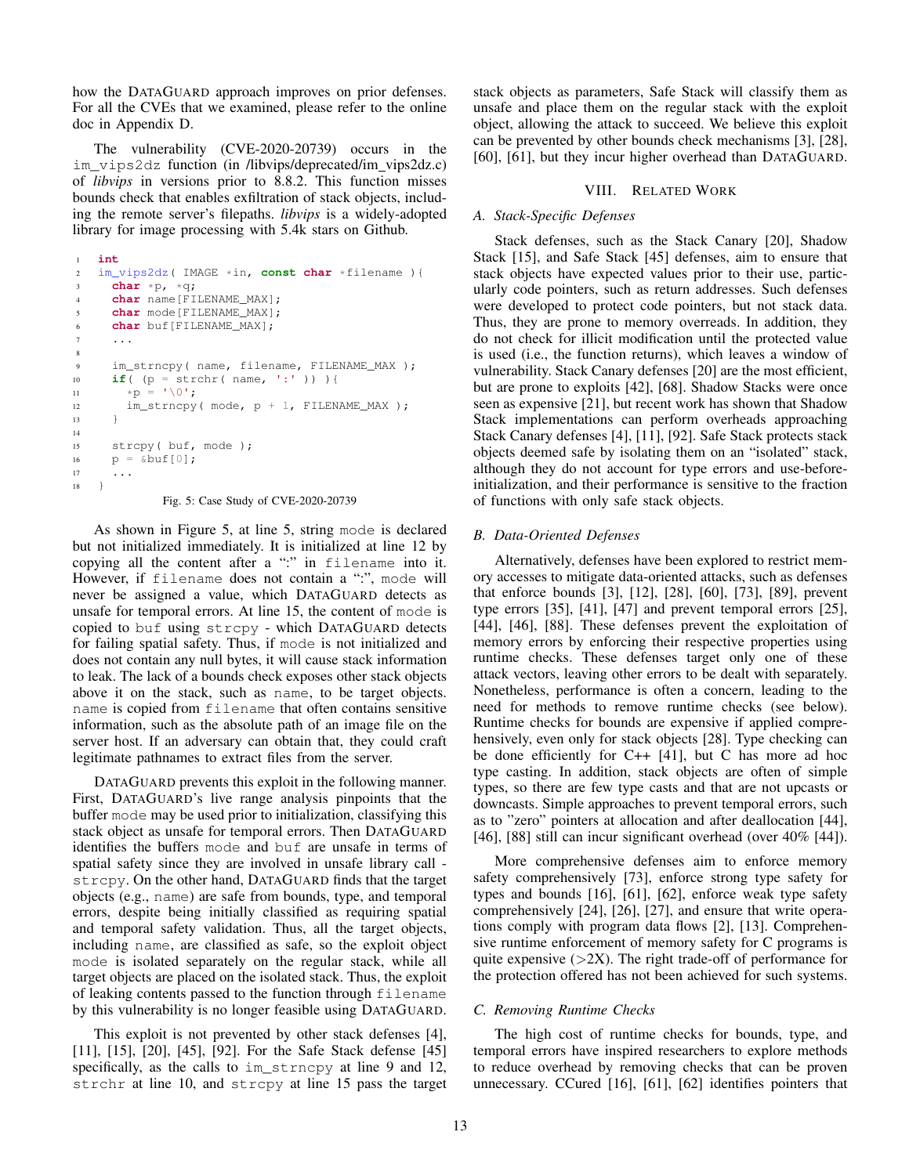how the DATAGUARD approach improves on prior defenses. For all the CVEs that we examined, please refer to the online doc in Appendix [D.](#page-16-1)

The vulnerability (CVE-2020-20739) occurs in the im\_vips2dz function (in /libvips/deprecated/im vips2dz.c) of *libvips* in versions prior to 8.8.2. This function misses bounds check that enables exfiltration of stack objects, including the remote server's filepaths. *libvips* is a widely-adopted library for image processing with 5.4k stars on Github.

```
1 int
2 im_vips2dz( IMAGE *in, const char *filename ){
3 char *p, *q;
4 char name[FILENAME_MAX];
5 char mode[FILENAME_MAX];
6 char buf[FILENAME_MAX];
7 \cdot \cdot \cdot8
9 im_strncpy( name, filename, FILENAME_MAX );
10 if( (p = strchr( name, ':' )) ){
11 \star p = ' \ 0';12 im_strncpy(mode, p + 1, FILENAME_MAX);
13 }
14
15 strcpy( buf, mode );
16 p = \& \text{buf}[0];17 ...
18 }
```
Fig. 5: Case Study of CVE-2020-20739

As shown in Figure [5,](#page-12-0) at line 5, string mode is declared but not initialized immediately. It is initialized at line 12 by copying all the content after a ":" in filename into it. However, if filename does not contain a ":", mode will never be assigned a value, which DATAGUARD detects as unsafe for temporal errors. At line 15, the content of mode is copied to buf using strcpy - which DATAGUARD detects for failing spatial safety. Thus, if mode is not initialized and does not contain any null bytes, it will cause stack information to leak. The lack of a bounds check exposes other stack objects above it on the stack, such as name, to be target objects. name is copied from filename that often contains sensitive information, such as the absolute path of an image file on the server host. If an adversary can obtain that, they could craft legitimate pathnames to extract files from the server.

DATAGUARD prevents this exploit in the following manner. First, DATAGUARD's live range analysis pinpoints that the buffer mode may be used prior to initialization, classifying this stack object as unsafe for temporal errors. Then DATAGUARD identifies the buffers mode and buf are unsafe in terms of spatial safety since they are involved in unsafe library call strcpy. On the other hand, DATAGUARD finds that the target objects (e.g., name) are safe from bounds, type, and temporal errors, despite being initially classified as requiring spatial and temporal safety validation. Thus, all the target objects, including name, are classified as safe, so the exploit object mode is isolated separately on the regular stack, while all target objects are placed on the isolated stack. Thus, the exploit of leaking contents passed to the function through filename by this vulnerability is no longer feasible using DATAGUARD.

This exploit is not prevented by other stack defenses [\[4\]](#page-13-2), [\[11\]](#page-13-3), [\[15\]](#page-13-1), [\[20\]](#page-14-4), [\[45\]](#page-14-5), [\[92\]](#page-15-3). For the Safe Stack defense [\[45\]](#page-14-5) specifically, as the calls to im\_strncpy at line 9 and 12, strchr at line 10, and strcpy at line 15 pass the target stack objects as parameters, Safe Stack will classify them as unsafe and place them on the regular stack with the exploit object, allowing the attack to succeed. We believe this exploit can be prevented by other bounds check mechanisms [\[3\]](#page-13-4), [\[28\]](#page-14-7), [\[60\]](#page-14-6), [\[61\]](#page-14-8), but they incur higher overhead than DATAGUARD.

# VIII. RELATED WORK

# *A. Stack-Specific Defenses*

Stack defenses, such as the Stack Canary [\[20\]](#page-14-4), Shadow Stack [\[15\]](#page-13-1), and Safe Stack [\[45\]](#page-14-5) defenses, aim to ensure that stack objects have expected values prior to their use, particularly code pointers, such as return addresses. Such defenses were developed to protect code pointers, but not stack data. Thus, they are prone to memory overreads. In addition, they do not check for illicit modification until the protected value is used (i.e., the function returns), which leaves a window of vulnerability. Stack Canary defenses [\[20\]](#page-14-4) are the most efficient, but are prone to exploits [\[42\]](#page-14-41), [\[68\]](#page-15-28). Shadow Stacks were once seen as expensive [\[21\]](#page-14-42), but recent work has shown that Shadow Stack implementations can perform overheads approaching Stack Canary defenses [\[4\]](#page-13-2), [\[11\]](#page-13-3), [\[92\]](#page-15-3). Safe Stack protects stack objects deemed safe by isolating them on an "isolated" stack, although they do not account for type errors and use-beforeinitialization, and their performance is sensitive to the fraction of functions with only safe stack objects.

# *B. Data-Oriented Defenses*

Alternatively, defenses have been explored to restrict memory accesses to mitigate data-oriented attacks, such as defenses that enforce bounds [\[3\]](#page-13-4), [\[12\]](#page-13-16), [\[28\]](#page-14-7), [\[60\]](#page-14-6), [\[73\]](#page-15-7), [\[89\]](#page-15-11), prevent type errors [\[35\]](#page-14-9), [\[41\]](#page-14-10), [\[47\]](#page-14-11) and prevent temporal errors [\[25\]](#page-14-16), [\[44\]](#page-14-12), [\[46\]](#page-14-13), [\[88\]](#page-15-8). These defenses prevent the exploitation of memory errors by enforcing their respective properties using runtime checks. These defenses target only one of these attack vectors, leaving other errors to be dealt with separately. Nonetheless, performance is often a concern, leading to the need for methods to remove runtime checks (see below). Runtime checks for bounds are expensive if applied comprehensively, even only for stack objects [\[28\]](#page-14-7). Type checking can be done efficiently for C++ [\[41\]](#page-14-10), but C has more ad hoc type casting. In addition, stack objects are often of simple types, so there are few type casts and that are not upcasts or downcasts. Simple approaches to prevent temporal errors, such as to "zero" pointers at allocation and after deallocation [\[44\]](#page-14-12), [\[46\]](#page-14-13), [\[88\]](#page-15-8) still can incur significant overhead (over 40% [\[44\]](#page-14-12)).

More comprehensive defenses aim to enforce memory safety comprehensively [\[73\]](#page-15-7), enforce strong type safety for types and bounds [\[16\]](#page-13-5), [\[61\]](#page-14-8), [\[62\]](#page-14-20), enforce weak type safety comprehensively [\[24\]](#page-14-17), [\[26\]](#page-14-18), [\[27\]](#page-14-19), and ensure that write operations comply with program data flows [\[2\]](#page-13-17), [\[13\]](#page-13-18). Comprehensive runtime enforcement of memory safety for C programs is quite expensive  $(>=2X)$ . The right trade-off of performance for the protection offered has not been achieved for such systems.

# *C. Removing Runtime Checks*

The high cost of runtime checks for bounds, type, and temporal errors have inspired researchers to explore methods to reduce overhead by removing checks that can be proven unnecessary. CCured [\[16\]](#page-13-5), [\[61\]](#page-14-8), [\[62\]](#page-14-20) identifies pointers that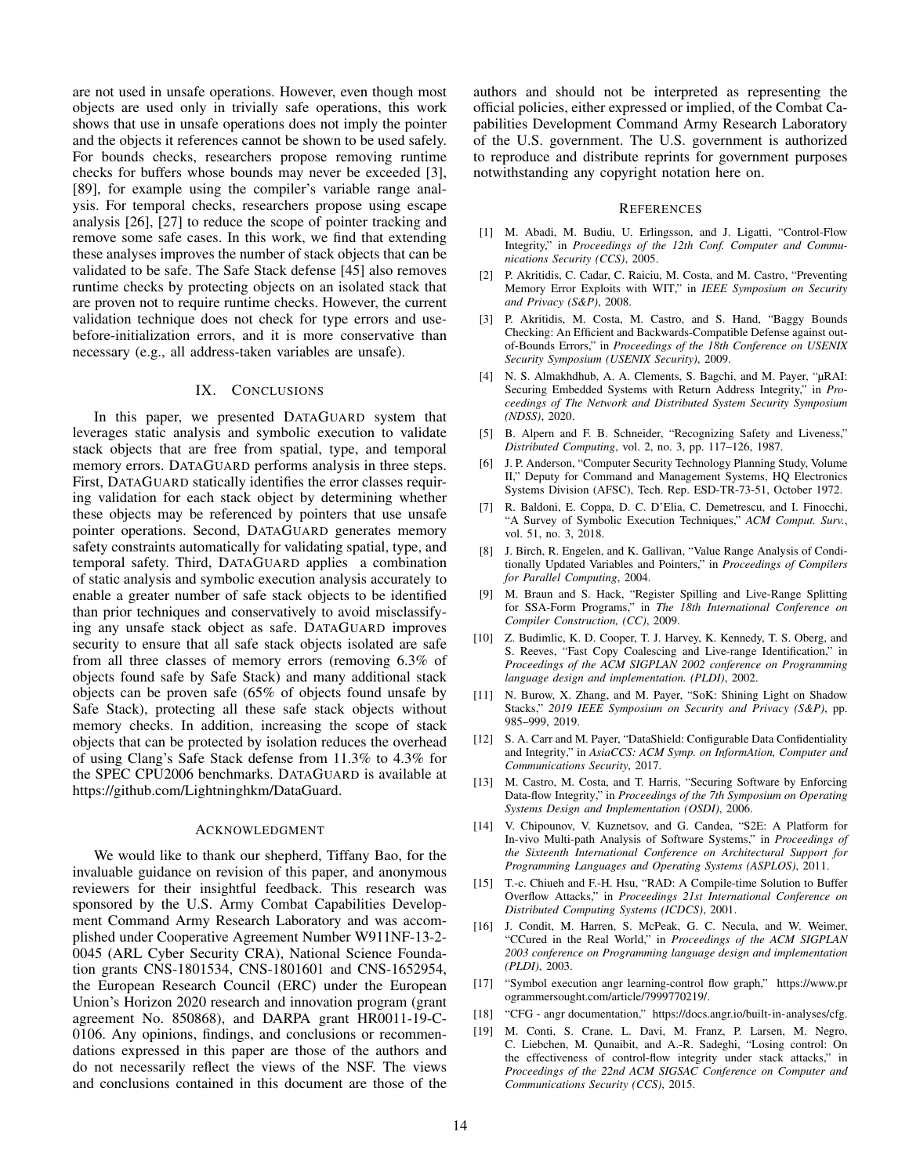are not used in unsafe operations. However, even though most objects are used only in trivially safe operations, this work shows that use in unsafe operations does not imply the pointer and the objects it references cannot be shown to be used safely. For bounds checks, researchers propose removing runtime checks for buffers whose bounds may never be exceeded [\[3\]](#page-13-4), [\[89\]](#page-15-11), for example using the compiler's variable range analysis. For temporal checks, researchers propose using escape analysis [\[26\]](#page-14-18), [\[27\]](#page-14-19) to reduce the scope of pointer tracking and remove some safe cases. In this work, we find that extending these analyses improves the number of stack objects that can be validated to be safe. The Safe Stack defense [\[45\]](#page-14-5) also removes runtime checks by protecting objects on an isolated stack that are proven not to require runtime checks. However, the current validation technique does not check for type errors and usebefore-initialization errors, and it is more conservative than necessary (e.g., all address-taken variables are unsafe).

## IX. CONCLUSIONS

In this paper, we presented DATAGUARD system that leverages static analysis and symbolic execution to validate stack objects that are free from spatial, type, and temporal memory errors. DATAGUARD performs analysis in three steps. First, DATAGUARD statically identifies the error classes requiring validation for each stack object by determining whether these objects may be referenced by pointers that use unsafe pointer operations. Second, DATAGUARD generates memory safety constraints automatically for validating spatial, type, and temporal safety. Third, DATAGUARD applies a combination of static analysis and symbolic execution analysis accurately to enable a greater number of safe stack objects to be identified than prior techniques and conservatively to avoid misclassifying any unsafe stack object as safe. DATAGUARD improves security to ensure that all safe stack objects isolated are safe from all three classes of memory errors (removing 6.3% of objects found safe by Safe Stack) and many additional stack objects can be proven safe (65% of objects found unsafe by Safe Stack), protecting all these safe stack objects without memory checks. In addition, increasing the scope of stack objects that can be protected by isolation reduces the overhead of using Clang's Safe Stack defense from 11.3% to 4.3% for the SPEC CPU2006 benchmarks. DATAGUARD is available a[t](https://github.com/Lightninghkm/DataGuard) [https://github.com/Lightninghkm/DataGuard.](https://github.com/Lightninghkm/DataGuard)

# ACKNOWLEDGMENT

We would like to thank our shepherd, Tiffany Bao, for the invaluable guidance on revision of this paper, and anonymous reviewers for their insightful feedback. This research was sponsored by the U.S. Army Combat Capabilities Development Command Army Research Laboratory and was accomplished under Cooperative Agreement Number W911NF-13-2- 0045 (ARL Cyber Security CRA), National Science Foundation grants CNS-1801534, CNS-1801601 and CNS-1652954, the European Research Council (ERC) under the European Union's Horizon 2020 research and innovation program (grant agreement No. 850868), and DARPA grant HR0011-19-C-0106. Any opinions, findings, and conclusions or recommendations expressed in this paper are those of the authors and do not necessarily reflect the views of the NSF. The views and conclusions contained in this document are those of the authors and should not be interpreted as representing the official policies, either expressed or implied, of the Combat Capabilities Development Command Army Research Laboratory of the U.S. government. The U.S. government is authorized to reproduce and distribute reprints for government purposes notwithstanding any copyright notation here on.

#### **REFERENCES**

- <span id="page-13-7"></span>[1] M. Abadi, M. Budiu, U. Erlingsson, and J. Ligatti, "Control-Flow Integrity," in *Proceedings of the 12th Conf. Computer and Communications Security (CCS)*, 2005.
- <span id="page-13-17"></span>[2] P. Akritidis, C. Cadar, C. Raiciu, M. Costa, and M. Castro, "Preventing Memory Error Exploits with WIT," in *IEEE Symposium on Security and Privacy (S&P)*, 2008.
- <span id="page-13-4"></span>[3] P. Akritidis, M. Costa, M. Castro, and S. Hand, "Baggy Bounds Checking: An Efficient and Backwards-Compatible Defense against outof-Bounds Errors," in *Proceedings of the 18th Conference on USENIX Security Symposium (USENIX Security)*, 2009.
- <span id="page-13-2"></span>[4] N. S. Almakhdhub, A. A. Clements, S. Bagchi, and M. Payer, "µRAI: Securing Embedded Systems with Return Address Integrity," in *Proceedings of The Network and Distributed System Security Symposium (NDSS)*, 2020.
- <span id="page-13-10"></span>[5] B. Alpern and F. B. Schneider, "Recognizing Safety and Liveness," *Distributed Computing*, vol. 2, no. 3, pp. 117–126, 1987.
- <span id="page-13-0"></span>[6] J. P. Anderson, "Computer Security Technology Planning Study, Volume II," Deputy for Command and Management Systems, HQ Electronics Systems Division (AFSC), Tech. Rep. ESD-TR-73-51, October 1972.
- <span id="page-13-13"></span>[7] R. Baldoni, E. Coppa, D. C. D'Elia, C. Demetrescu, and I. Finocchi, "A Survey of Symbolic Execution Techniques," *ACM Comput. Surv.*, vol. 51, no. 3, 2018.
- <span id="page-13-8"></span>[8] J. Birch, R. Engelen, and K. Gallivan, "Value Range Analysis of Conditionally Updated Variables and Pointers," in *Proceedings of Compilers for Parallel Computing*, 2004.
- <span id="page-13-11"></span>[9] M. Braun and S. Hack, "Register Spilling and Live-Range Splitting for SSA-Form Programs," in *The 18th International Conference on Compiler Construction, (CC)*, 2009.
- <span id="page-13-12"></span>[10] Z. Budimlic, K. D. Cooper, T. J. Harvey, K. Kennedy, T. S. Oberg, and S. Reeves, "Fast Copy Coalescing and Live-range Identification," in *Proceedings of the ACM SIGPLAN 2002 conference on Programming language design and implementation. (PLDI)*, 2002.
- <span id="page-13-3"></span>[11] N. Burow, X. Zhang, and M. Payer, "SoK: Shining Light on Shadow Stacks," *2019 IEEE Symposium on Security and Privacy (S&P)*, pp. 985–999, 2019.
- <span id="page-13-16"></span>[12] S. A. Carr and M. Payer, "DataShield: Configurable Data Confidentiality and Integrity," in *AsiaCCS: ACM Symp. on InformAtion, Computer and Communications Security*, 2017.
- <span id="page-13-18"></span>[13] M. Castro, M. Costa, and T. Harris, "Securing Software by Enforcing Data-flow Integrity," in *Proceedings of the 7th Symposium on Operating Systems Design and Implementation (OSDI)*, 2006.
- <span id="page-13-9"></span>[14] V. Chipounov, V. Kuznetsov, and G. Candea, "S2E: A Platform for In-vivo Multi-path Analysis of Software Systems," in *Proceedings of the Sixteenth International Conference on Architectural Support for Programming Languages and Operating Systems (ASPLOS)*, 2011.
- <span id="page-13-1"></span>[15] T.-c. Chiueh and F.-H. Hsu, "RAD: A Compile-time Solution to Buffer Overflow Attacks," in *Proceedings 21st International Conference on Distributed Computing Systems (ICDCS)*, 2001.
- <span id="page-13-5"></span>[16] J. Condit, M. Harren, S. McPeak, G. C. Necula, and W. Weimer, "CCured in the Real World," in *Proceedings of the ACM SIGPLAN 2003 conference on Programming language design and implementation (PLDI)*, 2003.
- <span id="page-13-14"></span>[17] "Symbol execution angr learning-control flow graph," [https://www.pr](https://www.programmersought.com/article/7999770219/) [ogrammersought.com/article/7999770219/.](https://www.programmersought.com/article/7999770219/)
- <span id="page-13-15"></span>[18] "CFG - angr documentation," [https://docs.angr.io/built-in-analyses/cfg.](https://docs.angr.io/built-in-analyses/cfg)
- <span id="page-13-6"></span>[19] M. Conti, S. Crane, L. Davi, M. Franz, P. Larsen, M. Negro, C. Liebchen, M. Qunaibit, and A.-R. Sadeghi, "Losing control: On the effectiveness of control-flow integrity under stack attacks," in *Proceedings of the 22nd ACM SIGSAC Conference on Computer and Communications Security (CCS)*, 2015.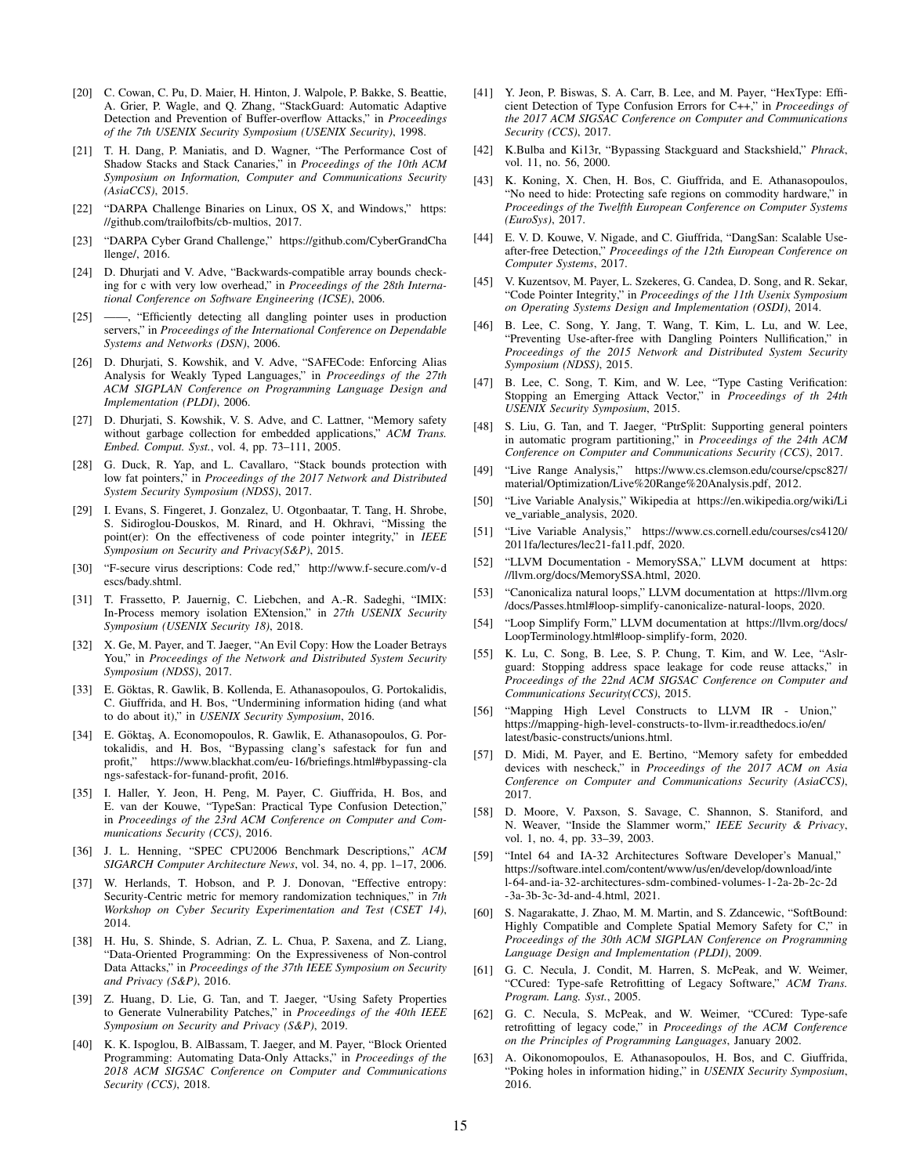- <span id="page-14-4"></span>[20] C. Cowan, C. Pu, D. Maier, H. Hinton, J. Walpole, P. Bakke, S. Beattie, A. Grier, P. Wagle, and Q. Zhang, "StackGuard: Automatic Adaptive Detection and Prevention of Buffer-overflow Attacks," in *Proceedings of the 7th USENIX Security Symposium (USENIX Security)*, 1998.
- <span id="page-14-42"></span>[21] T. H. Dang, P. Maniatis, and D. Wagner, "The Performance Cost of Shadow Stacks and Stack Canaries," in *Proceedings of the 10th ACM Symposium on Information, Computer and Communications Security (AsiaCCS)*, 2015.
- <span id="page-14-40"></span>[22] "DARPA Challenge Binaries on Linux, OS X, and Windows," [https:](https://github.com/trailofbits/cb-multios) [//github.com/trailofbits/cb-multios,](https://github.com/trailofbits/cb-multios) 2017.
- <span id="page-14-15"></span>[23] "DARPA Cyber Grand Challenge," [https://github.com/CyberGrandCha](https://github.com/CyberGrandChallenge/) [llenge/,](https://github.com/CyberGrandChallenge/) 2016.
- <span id="page-14-17"></span>[24] D. Dhurjati and V. Adve, "Backwards-compatible array bounds checking for c with very low overhead," in *Proceedings of the 28th International Conference on Software Engineering (ICSE)*, 2006.
- <span id="page-14-16"></span>[25] ——, "Efficiently detecting all dangling pointer uses in production servers," in *Proceedings of the International Conference on Dependable Systems and Networks (DSN)*, 2006.
- <span id="page-14-18"></span>[26] D. Dhurjati, S. Kowshik, and V. Adve, "SAFECode: Enforcing Alias Analysis for Weakly Typed Languages," in *Proceedings of the 27th ACM SIGPLAN Conference on Programming Language Design and Implementation (PLDI)*, 2006.
- <span id="page-14-19"></span>[27] D. Dhurjati, S. Kowshik, V. S. Adve, and C. Lattner, "Memory safety without garbage collection for embedded applications," *ACM Trans. Embed. Comput. Syst.*, vol. 4, pp. 73–111, 2005.
- <span id="page-14-7"></span>[28] G. Duck, R. Yap, and L. Cavallaro, "Stack bounds protection with low fat pointers," in *Proceedings of the 2017 Network and Distributed System Security Symposium (NDSS)*, 2017.
- <span id="page-14-21"></span>[29] I. Evans, S. Fingeret, J. Gonzalez, U. Otgonbaatar, T. Tang, H. Shrobe, S. Sidiroglou-Douskos, M. Rinard, and H. Okhravi, "Missing the point(er): On the effectiveness of code pointer integrity," in *IEEE Symposium on Security and Privacy(S&P)*, 2015.
- <span id="page-14-0"></span>[30] "F-secure virus descriptions: Code red," [http://www.f-secure.com/v-d](http://www.f-secure.com/v-descs/bady.shtml) [escs/bady.shtml.](http://www.f-secure.com/v-descs/bady.shtml)
- <span id="page-14-27"></span>[31] T. Frassetto, P. Jauernig, C. Liebchen, and A.-R. Sadeghi, "IMIX: In-Process memory isolation EXtension," in *27th USENIX Security Symposium (USENIX Security 18)*, 2018.
- <span id="page-14-30"></span>[32] X. Ge, M. Payer, and T. Jaeger, "An Evil Copy: How the Loader Betrays You," in *Proceedings of the Network and Distributed System Security Symposium (NDSS)*, 2017.
- <span id="page-14-22"></span>[33] E. Göktas, R. Gawlik, B. Kollenda, E. Athanasopoulos, G. Portokalidis, C. Giuffrida, and H. Bos, "Undermining information hiding (and what to do about it)," in *USENIX Security Symposium*, 2016.
- <span id="page-14-23"></span>[34] E. Göktaş, A. Economopoulos, R. Gawlik, E. Athanasopoulos, G. Portokalidis, and H. Bos, "Bypassing clang's safestack for fun and profit," [https://www.blackhat.com/eu-16/briefings.html#bypassing-cla](https://www.blackhat.com/eu-16/briefings.html#bypassing-clangs-safestack-for-funand-profit) [ngs-safestack-for-funand-profit,](https://www.blackhat.com/eu-16/briefings.html#bypassing-clangs-safestack-for-funand-profit) 2016.
- <span id="page-14-9"></span>[35] I. Haller, Y. Jeon, H. Peng, M. Payer, C. Giuffrida, H. Bos, and E. van der Kouwe, "TypeSan: Practical Type Confusion Detection," in *Proceedings of the 23rd ACM Conference on Computer and Communications Security (CCS)*, 2016.
- <span id="page-14-14"></span>[36] J. L. Henning, "SPEC CPU2006 Benchmark Descriptions," *ACM SIGARCH Computer Architecture News*, vol. 34, no. 4, pp. 1–17, 2006.
- <span id="page-14-28"></span>[37] W. Herlands, T. Hobson, and P. J. Donovan, "Effective entropy: Security-Centric metric for memory randomization techniques," in *7th Workshop on Cyber Security Experimentation and Test (CSET 14)*, 2014.
- <span id="page-14-2"></span>[38] H. Hu, S. Shinde, S. Adrian, Z. L. Chua, P. Saxena, and Z. Liang, "Data-Oriented Programming: On the Expressiveness of Non-control Data Attacks," in *Proceedings of the 37th IEEE Symposium on Security and Privacy (S&P)*, 2016.
- <span id="page-14-34"></span>[39] Z. Huang, D. Lie, G. Tan, and T. Jaeger, "Using Safety Properties to Generate Vulnerability Patches," in *Proceedings of the 40th IEEE Symposium on Security and Privacy (S&P)*, 2019.
- <span id="page-14-3"></span>[40] K. K. Ispoglou, B. AlBassam, T. Jaeger, and M. Payer, "Block Oriented Programming: Automating Data-Only Attacks," in *Proceedings of the 2018 ACM SIGSAC Conference on Computer and Communications Security (CCS)*, 2018.
- <span id="page-14-10"></span>[41] Y. Jeon, P. Biswas, S. A. Carr, B. Lee, and M. Payer, "HexType: Efficient Detection of Type Confusion Errors for C++," in *Proceedings of the 2017 ACM SIGSAC Conference on Computer and Communications Security (CCS)*, 2017.
- <span id="page-14-41"></span>[42] K.Bulba and Ki13r, "Bypassing Stackguard and Stackshield," *Phrack*, vol. 11, no. 56, 2000.
- <span id="page-14-29"></span>[43] K. Koning, X. Chen, H. Bos, C. Giuffrida, and E. Athanasopoulos, "No need to hide: Protecting safe regions on commodity hardware," in *Proceedings of the Twelfth European Conference on Computer Systems (EuroSys)*, 2017.
- <span id="page-14-12"></span>[44] E. V. D. Kouwe, V. Nigade, and C. Giuffrida, "DangSan: Scalable Useafter-free Detection," *Proceedings of the 12th European Conference on Computer Systems*, 2017.
- <span id="page-14-5"></span>[45] V. Kuzentsov, M. Payer, L. Szekeres, G. Candea, D. Song, and R. Sekar, "Code Pointer Integrity," in *Proceedings of the 11th Usenix Symposium on Operating Systems Design and Implementation (OSDI)*, 2014.
- <span id="page-14-13"></span>[46] B. Lee, C. Song, Y. Jang, T. Wang, T. Kim, L. Lu, and W. Lee, "Preventing Use-after-free with Dangling Pointers Nullification," in *Proceedings of the 2015 Network and Distributed System Security Symposium (NDSS)*, 2015.
- <span id="page-14-11"></span>[47] B. Lee, C. Song, T. Kim, and W. Lee, "Type Casting Verification: Stopping an Emerging Attack Vector," in *Proceedings of th 24th USENIX Security Symposium*, 2015.
- <span id="page-14-38"></span>[48] S. Liu, G. Tan, and T. Jaeger, "PtrSplit: Supporting general pointers in automatic program partitioning," in *Proceedings of the 24th ACM Conference on Computer and Communications Security (CCS)*, 2017.
- <span id="page-14-37"></span>[49] "Live Range Analysis," [https://www.cs.clemson.edu/course/cpsc827/](https://www.cs.clemson.edu/course/cpsc827/material/Optimization/Live%20Range%20Analysis.pdf) [material/Optimization/Live%20Range%20Analysis.pdf,](https://www.cs.clemson.edu/course/cpsc827/material/Optimization/Live%20Range%20Analysis.pdf) 2012.
- <span id="page-14-35"></span>[50] "Live Variable Analysis," Wikipedia at [https://en.wikipedia.org/wiki/Li](https://en.wikipedia.org/wiki/Live_variable_analysis) ve\_variable\_[analysis,](https://en.wikipedia.org/wiki/Live_variable_analysis) 2020.
- <span id="page-14-36"></span>[51] "Live Variable Analysis," [https://www.cs.cornell.edu/courses/cs4120/](https://www.cs.cornell.edu/courses/cs4120/2011fa/lectures/lec21-fa11.pdf) [2011fa/lectures/lec21-fa11.pdf,](https://www.cs.cornell.edu/courses/cs4120/2011fa/lectures/lec21-fa11.pdf) 2020.
- <span id="page-14-31"></span>[52] "LLVM Documentation - MemorySSA," LLVM document at [https:](https://llvm.org/docs/MemorySSA.html) [//llvm.org/docs/MemorySSA.html,](https://llvm.org/docs/MemorySSA.html) 2020.
- <span id="page-14-33"></span>[53] "Canonicaliza natural loops," LLVM documentation at [https://llvm.org](https://llvm.org/docs/Passes.html#loop-simplify-canonicalize-natural-loops) [/docs/Passes.html#loop-simplify-canonicalize-natural-loops,](https://llvm.org/docs/Passes.html#loop-simplify-canonicalize-natural-loops) 2020.
- <span id="page-14-32"></span>[54] "Loop Simplify Form," LLVM documentation at [https://llvm.org/docs/](https://llvm.org/docs/LoopTerminology.html#loop-simplify-form) [LoopTerminology.html#loop-simplify-form,](https://llvm.org/docs/LoopTerminology.html#loop-simplify-form) 2020.
- <span id="page-14-26"></span>[55] K. Lu, C. Song, B. Lee, S. P. Chung, T. Kim, and W. Lee, "Aslrguard: Stopping address space leakage for code reuse attacks," in *Proceedings of the 22nd ACM SIGSAC Conference on Computer and Communications Security(CCS)*, 2015.
- <span id="page-14-43"></span>[56] "Mapping High Level Constructs to LLVM IR - Union," [https://mapping-high-level-constructs-to-llvm-ir.readthedocs.io/en/](https://mapping-high-level-constructs-to-llvm-ir.readthedocs.io/en/latest/basic-constructs/unions.html) [latest/basic-constructs/unions.html.](https://mapping-high-level-constructs-to-llvm-ir.readthedocs.io/en/latest/basic-constructs/unions.html)
- <span id="page-14-39"></span>[57] D. Midi, M. Payer, and E. Bertino, "Memory safety for embedded devices with nescheck," in *Proceedings of the 2017 ACM on Asia Conference on Computer and Communications Security (AsiaCCS)*, 2017.
- <span id="page-14-1"></span>[58] D. Moore, V. Paxson, S. Savage, C. Shannon, S. Staniford, and N. Weaver, "Inside the Slammer worm," *IEEE Security & Privacy*, vol. 1, no. 4, pp. 33–39, 2003.
- <span id="page-14-25"></span>[59] "Intel 64 and IA-32 Architectures Software Developer's Manual," [https://software.intel.com/content/www/us/en/develop/download/inte](https://software.intel.com/content/www/us/en/develop/download/intel-64-and-ia-32-architectures-sdm-combined-volumes-1-2a-2b-2c-2d-3a-3b-3c-3d-and-4.html) [l-64-and-ia-32-architectures-sdm-combined-volumes-1-2a-2b-2c-2d](https://software.intel.com/content/www/us/en/develop/download/intel-64-and-ia-32-architectures-sdm-combined-volumes-1-2a-2b-2c-2d-3a-3b-3c-3d-and-4.html) [-3a-3b-3c-3d-and-4.html,](https://software.intel.com/content/www/us/en/develop/download/intel-64-and-ia-32-architectures-sdm-combined-volumes-1-2a-2b-2c-2d-3a-3b-3c-3d-and-4.html) 2021.
- <span id="page-14-6"></span>[60] S. Nagarakatte, J. Zhao, M. M. Martin, and S. Zdancewic, "SoftBound: Highly Compatible and Complete Spatial Memory Safety for C," in *Proceedings of the 30th ACM SIGPLAN Conference on Programming Language Design and Implementation (PLDI)*, 2009.
- <span id="page-14-8"></span>[61] G. C. Necula, J. Condit, M. Harren, S. McPeak, and W. Weimer, "CCured: Type-safe Retrofitting of Legacy Software," *ACM Trans. Program. Lang. Syst.*, 2005.
- <span id="page-14-20"></span>[62] G. C. Necula, S. McPeak, and W. Weimer, "CCured: Type-safe retrofitting of legacy code," in *Proceedings of the ACM Conference on the Principles of Programming Languages*, January 2002.
- <span id="page-14-24"></span>[63] A. Oikonomopoulos, E. Athanasopoulos, H. Bos, and C. Giuffrida, "Poking holes in information hiding," in *USENIX Security Symposium*, 2016.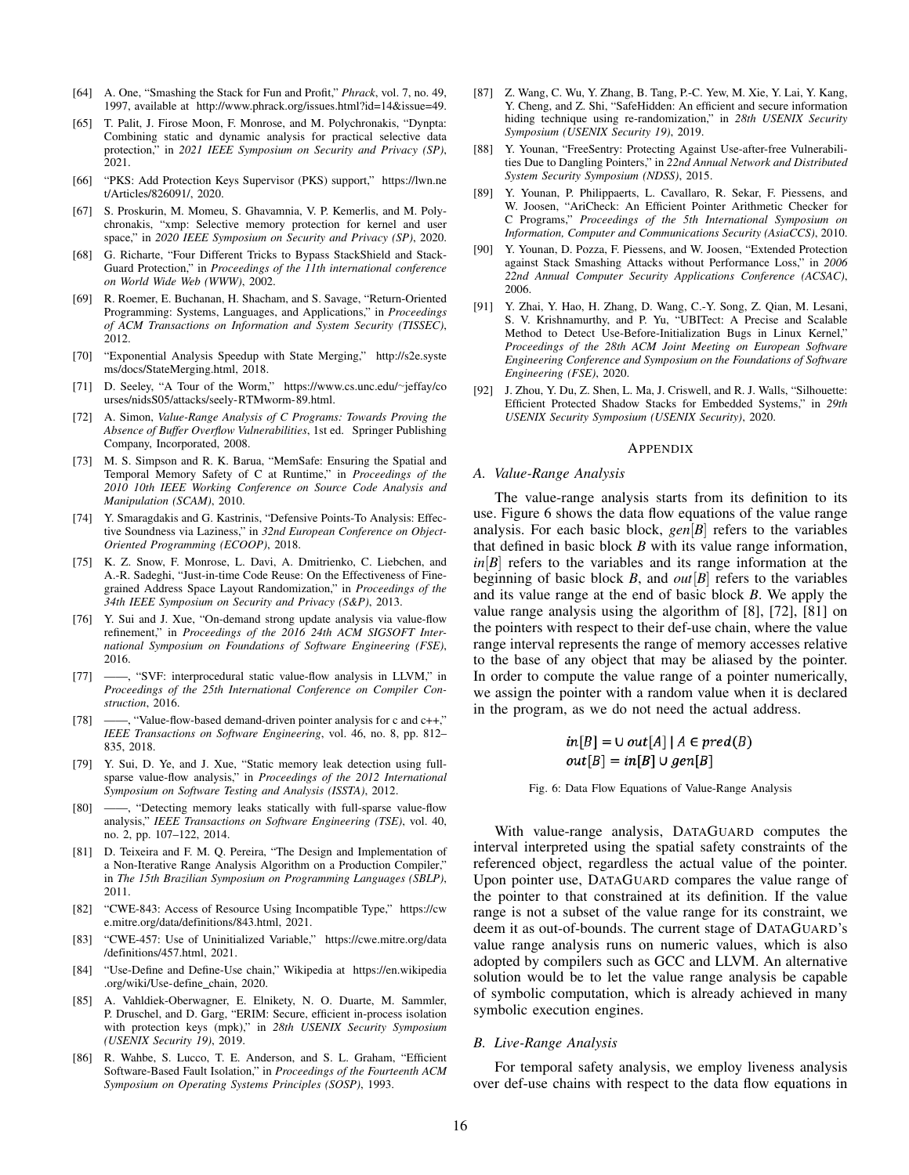- <span id="page-15-0"></span>[64] A. One, "Smashing the Stack for Fun and Profit," *Phrack*, vol. 7, no. 49, 1997, available at [http://www.phrack.org/issues.html?id=14&issue=49.](http://www.phrack.org/issues.html?id=14&issue=49)
- <span id="page-15-9"></span>[65] T. Palit, J. Firose Moon, F. Monrose, and M. Polychronakis, "Dynpta: Combining static and dynamic analysis for practical selective data protection," in *2021 IEEE Symposium on Security and Privacy (SP)*, 2021.
- <span id="page-15-16"></span>[66] "PKS: Add Protection Keys Supervisor (PKS) support," [https://lwn.ne](https://lwn.net/Articles/826091/) [t/Articles/826091/,](https://lwn.net/Articles/826091/) 2020.
- <span id="page-15-10"></span>[67] S. Proskurin, M. Momeu, S. Ghavamnia, V. P. Kemerlis, and M. Polychronakis, "xmp: Selective memory protection for kernel and user space," in *2020 IEEE Symposium on Security and Privacy (SP)*, 2020.
- <span id="page-15-28"></span>[68] G. Richarte, "Four Different Tricks to Bypass StackShield and Stack-Guard Protection," in *Proceedings of the 11th international conference on World Wide Web (WWW)*, 2002.
- <span id="page-15-4"></span>[69] R. Roemer, E. Buchanan, H. Shacham, and S. Savage, "Return-Oriented Programming: Systems, Languages, and Applications," in *Proceedings of ACM Transactions on Information and System Security (TISSEC)*, 2012.
- <span id="page-15-22"></span>[70] "Exponential Analysis Speedup with State Merging," [http://s2e.syste](http://s2e.systems/docs/StateMerging.html) [ms/docs/StateMerging.html,](http://s2e.systems/docs/StateMerging.html) 2018.
- <span id="page-15-1"></span>[71] D. Seeley, "A Tour of the Worm," [https://www.cs.unc.edu/](https://www.cs.unc.edu/~jeffay/courses/nidsS05/attacks/seely-RTMworm-89.html.)∼jeffay/co [urses/nidsS05/attacks/seely-RTMworm-89.html.](https://www.cs.unc.edu/~jeffay/courses/nidsS05/attacks/seely-RTMworm-89.html.)
- <span id="page-15-20"></span>[72] A. Simon, *Value-Range Analysis of C Programs: Towards Proving the Absence of Buffer Overflow Vulnerabilities*, 1st ed. Springer Publishing Company, Incorporated, 2008.
- <span id="page-15-7"></span>[73] M. S. Simpson and R. K. Barua, "MemSafe: Ensuring the Spatial and Temporal Memory Safety of C at Runtime," in *Proceedings of the 2010 10th IEEE Working Conference on Source Code Analysis and Manipulation (SCAM)*, 2010.
- <span id="page-15-14"></span>[74] Y. Smaragdakis and G. Kastrinis, "Defensive Points-To Analysis: Effective Soundness via Laziness," in *32nd European Conference on Object-Oriented Programming (ECOOP)*, 2018.
- <span id="page-15-2"></span>[75] K. Z. Snow, F. Monrose, L. Davi, A. Dmitrienko, C. Liebchen, and A.-R. Sadeghi, "Just-in-time Code Reuse: On the Effectiveness of Finegrained Address Space Layout Randomization," in *Proceedings of the 34th IEEE Symposium on Security and Privacy (S&P)*, 2013.
- <span id="page-15-23"></span>[76] Y. Sui and J. Xue, "On-demand strong update analysis via value-flow refinement," in *Proceedings of the 2016 24th ACM SIGSOFT International Symposium on Foundations of Software Engineering (FSE)*, 2016.
- <span id="page-15-25"></span>[77] ——, "SVF: interprocedural static value-flow analysis in LLVM," in *Proceedings of the 25th International Conference on Compiler Construction*, 2016.
- [78] ——, "Value-flow-based demand-driven pointer analysis for c and c++," *IEEE Transactions on Software Engineering*, vol. 46, no. 8, pp. 812– 835, 2018.
- [79] Y. Sui, D. Ye, and J. Xue, "Static memory leak detection using fullsparse value-flow analysis," in *Proceedings of the 2012 International Symposium on Software Testing and Analysis (ISSTA)*, 2012.
- <span id="page-15-24"></span>[80] ——, "Detecting memory leaks statically with full-sparse value-flow analysis," *IEEE Transactions on Software Engineering (TSE)*, vol. 40, no. 2, pp. 107–122, 2014.
- <span id="page-15-21"></span>[81] D. Teixeira and F. M. Q. Pereira, "The Design and Implementation of a Non-Iterative Range Analysis Algorithm on a Production Compiler," in *The 15th Brazilian Symposium on Programming Languages (SBLP)*, 2011.
- <span id="page-15-5"></span>[82] "CWE-843: Access of Resource Using Incompatible Type," [https://cw](https://cwe.mitre.org/data/definitions/843.html) [e.mitre.org/data/definitions/843.html,](https://cwe.mitre.org/data/definitions/843.html) 2021.
- <span id="page-15-6"></span>[83] "CWE-457: Use of Uninitialized Variable," [https://cwe.mitre.org/data](https://cwe.mitre.org/data/definitions/457.html) [/definitions/457.html,](https://cwe.mitre.org/data/definitions/457.html) 2021.
- <span id="page-15-19"></span>[84] "Use-Define and Define-Use chain," Wikipedia at [https://en.wikipedia](https://en.wikipedia.org/wiki/Use-define_chain) [.org/wiki/Use-define](https://en.wikipedia.org/wiki/Use-define_chain) chain, 2020.
- <span id="page-15-17"></span>[85] A. Vahldiek-Oberwagner, E. Elnikety, N. O. Duarte, M. Sammler, P. Druschel, and D. Garg, "ERIM: Secure, efficient in-process isolation with protection keys (mpk)," in *28th USENIX Security Symposium (USENIX Security 19)*, 2019.
- <span id="page-15-15"></span>[86] R. Wahbe, S. Lucco, T. E. Anderson, and S. L. Graham, "Efficient Software-Based Fault Isolation," in *Proceedings of the Fourteenth ACM Symposium on Operating Systems Principles (SOSP)*, 1993.
- <span id="page-15-18"></span>[87] Z. Wang, C. Wu, Y. Zhang, B. Tang, P.-C. Yew, M. Xie, Y. Lai, Y. Kang, Y. Cheng, and Z. Shi, "SafeHidden: An efficient and secure information hiding technique using re-randomization," in *28th USENIX Security Symposium (USENIX Security 19)*, 2019.
- <span id="page-15-8"></span>[88] Y. Younan, "FreeSentry: Protecting Against Use-after-free Vulnerabilities Due to Dangling Pointers," in *22nd Annual Network and Distributed System Security Symposium (NDSS)*, 2015.
- <span id="page-15-11"></span>[89] Y. Younan, P. Philippaerts, L. Cavallaro, R. Sekar, F. Piessens, and W. Joosen, "AriCheck: An Efficient Pointer Arithmetic Checker for C Programs," *Proceedings of the 5th International Symposium on Information, Computer and Communications Security (AsiaCCS)*, 2010.
- <span id="page-15-13"></span>[90] Y. Younan, D. Pozza, F. Piessens, and W. Joosen, "Extended Protection against Stack Smashing Attacks without Performance Loss," in *2006 22nd Annual Computer Security Applications Conference (ACSAC)*, 2006.
- <span id="page-15-12"></span>[91] Y. Zhai, Y. Hao, H. Zhang, D. Wang, C.-Y. Song, Z. Qian, M. Lesani, S. V. Krishnamurthy, and P. Yu, "UBITect: A Precise and Scalable Method to Detect Use-Before-Initialization Bugs in Linux Kernel," *Proceedings of the 28th ACM Joint Meeting on European Software Engineering Conference and Symposium on the Foundations of Software Engineering (FSE)*, 2020.
- <span id="page-15-3"></span>[92] J. Zhou, Y. Du, Z. Shen, L. Ma, J. Criswell, and R. J. Walls, "Silhouette: Efficient Protected Shadow Stacks for Embedded Systems," in *29th USENIX Security Symposium (USENIX Security)*, 2020.

## **APPENDIX**

#### <span id="page-15-26"></span>*A. Value-Range Analysis*

The value-range analysis starts from its definition to its use. Figure [6](#page-15-29) shows the data flow equations of the value range analysis. For each basic block, *gen*[*B*] refers to the variables that defined in basic block *B* with its value range information,  $in[B]$  refers to the variables and its range information at the beginning of basic block *B*, and *out*[*B*] refers to the variables and its value range at the end of basic block *B*. We apply the value range analysis using the algorithm of [\[8\]](#page-13-8), [\[72\]](#page-15-20), [\[81\]](#page-15-21) on the pointers with respect to their def-use chain, where the value range interval represents the range of memory accesses relative to the base of any object that may be aliased by the pointer. In order to compute the value range of a pointer numerically, we assign the pointer with a random value when it is declared in the program, as we do not need the actual address.

$$
in[B] = \cup out[A] | A \in pred(B)
$$

$$
out[B] = in[B] \cup gen[B]
$$

<span id="page-15-29"></span>Fig. 6: Data Flow Equations of Value-Range Analysis

With value-range analysis, DATAGUARD computes the interval interpreted using the spatial safety constraints of the referenced object, regardless the actual value of the pointer. Upon pointer use, DATAGUARD compares the value range of the pointer to that constrained at its definition. If the value range is not a subset of the value range for its constraint, we deem it as out-of-bounds. The current stage of DATAGUARD's value range analysis runs on numeric values, which is also adopted by compilers such as GCC and LLVM. An alternative solution would be to let the value range analysis be capable of symbolic computation, which is already achieved in many symbolic execution engines.

# <span id="page-15-27"></span>*B. Live-Range Analysis*

For temporal safety analysis, we employ liveness analysis over def-use chains with respect to the data flow equations in